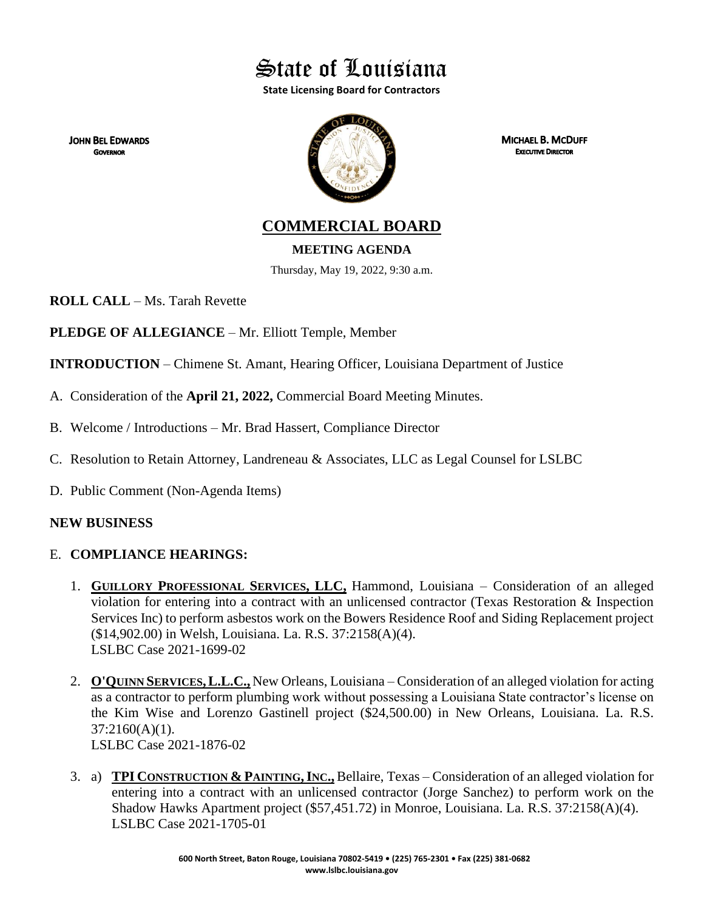State of Louisiana

**State Licensing Board for Contractors**

**JOHN BEL EDWARDS GOVERNOR** 



**MICHAEL B. MCDUFF EXECUTIVE DIRECTOR** 

**COMMERCIAL BOARD**

**MEETING AGENDA**

Thursday, May 19, 2022, 9:30 a.m.

**ROLL CALL** – Ms. Tarah Revette

**PLEDGE OF ALLEGIANCE** – Mr. Elliott Temple, Member

**INTRODUCTION** – Chimene St. Amant, Hearing Officer, Louisiana Department of Justice

- A. Consideration of the **April 21, 2022,** Commercial Board Meeting Minutes.
- B. Welcome / Introductions Mr. Brad Hassert, Compliance Director
- C. Resolution to Retain Attorney, Landreneau & Associates, LLC as Legal Counsel for LSLBC
- D. Public Comment (Non-Agenda Items)

# **NEW BUSINESS**

# E. **COMPLIANCE HEARINGS:**

- 1. **GUILLORY PROFESSIONAL SERVICES, LLC,** Hammond, Louisiana Consideration of an alleged violation for entering into a contract with an unlicensed contractor (Texas Restoration & Inspection Services Inc) to perform asbestos work on the Bowers Residence Roof and Siding Replacement project (\$14,902.00) in Welsh, Louisiana. La. R.S. 37:2158(A)(4). LSLBC Case 2021-1699-02
- 2. **O'QUINN SERVICES,L.L.C.,** New Orleans, Louisiana Consideration of an alleged violation for acting as a contractor to perform plumbing work without possessing a Louisiana State contractor's license on the Kim Wise and Lorenzo Gastinell project (\$24,500.00) in New Orleans, Louisiana. La. R.S. 37:2160(A)(1).

LSLBC Case 2021-1876-02

3. a) **TPI CONSTRUCTION & PAINTING,INC.,** Bellaire, Texas – Consideration of an alleged violation for entering into a contract with an unlicensed contractor (Jorge Sanchez) to perform work on the Shadow Hawks Apartment project (\$57,451.72) in Monroe, Louisiana. La. R.S. 37:2158(A)(4). LSLBC Case 2021-1705-01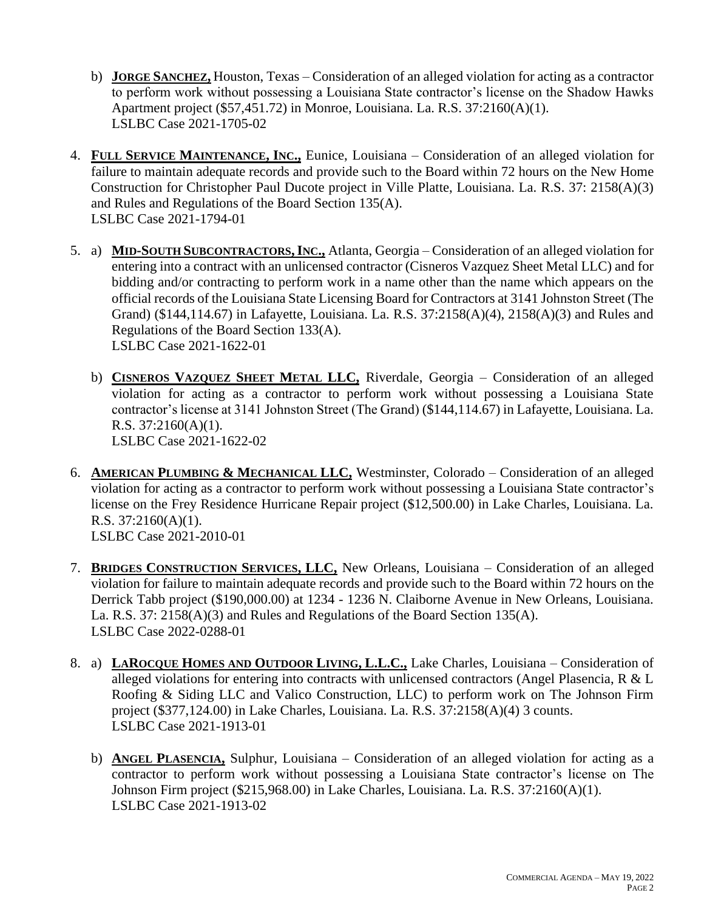- b) **JORGE SANCHEZ,** Houston, Texas Consideration of an alleged violation for acting as a contractor to perform work without possessing a Louisiana State contractor's license on the Shadow Hawks Apartment project (\$57,451.72) in Monroe, Louisiana. La. R.S. 37:2160(A)(1). LSLBC Case 2021-1705-02
- 4. **FULL SERVICE MAINTENANCE, INC.,** Eunice, Louisiana Consideration of an alleged violation for failure to maintain adequate records and provide such to the Board within 72 hours on the New Home Construction for Christopher Paul Ducote project in Ville Platte, Louisiana. La. R.S. 37: 2158(A)(3) and Rules and Regulations of the Board Section 135(A). LSLBC Case 2021-1794-01
- 5. a) **MID-SOUTH SUBCONTRACTORS,INC.,** Atlanta, Georgia Consideration of an alleged violation for entering into a contract with an unlicensed contractor (Cisneros Vazquez Sheet Metal LLC) and for bidding and/or contracting to perform work in a name other than the name which appears on the official records of the Louisiana State Licensing Board for Contractors at 3141 Johnston Street (The Grand) (\$144,114.67) in Lafayette, Louisiana. La. R.S. 37:2158(A)(4), 2158(A)(3) and Rules and Regulations of the Board Section 133(A). LSLBC Case 2021-1622-01
	- b) **CISNEROS VAZQUEZ SHEET METAL LLC,** Riverdale, Georgia Consideration of an alleged violation for acting as a contractor to perform work without possessing a Louisiana State contractor's license at 3141 Johnston Street (The Grand) (\$144,114.67) in Lafayette, Louisiana. La. R.S. 37:2160(A)(1). LSLBC Case 2021-1622-02
- 6. **AMERICAN PLUMBING & MECHANICAL LLC,** Westminster, Colorado Consideration of an alleged violation for acting as a contractor to perform work without possessing a Louisiana State contractor's license on the Frey Residence Hurricane Repair project (\$12,500.00) in Lake Charles, Louisiana. La. R.S. 37:2160(A)(1). LSLBC Case 2021-2010-01
- 7. **BRIDGES CONSTRUCTION SERVICES, LLC,** New Orleans, Louisiana Consideration of an alleged violation for failure to maintain adequate records and provide such to the Board within 72 hours on the Derrick Tabb project (\$190,000.00) at 1234 - 1236 N. Claiborne Avenue in New Orleans, Louisiana. La. R.S. 37: 2158(A)(3) and Rules and Regulations of the Board Section 135(A). LSLBC Case 2022-0288-01
- 8. a) **LAROCQUE HOMES AND OUTDOOR LIVING, L.L.C.,** Lake Charles, Louisiana Consideration of alleged violations for entering into contracts with unlicensed contractors (Angel Plasencia, R & L Roofing & Siding LLC and Valico Construction, LLC) to perform work on The Johnson Firm project (\$377,124.00) in Lake Charles, Louisiana. La. R.S. 37:2158(A)(4) 3 counts. LSLBC Case 2021-1913-01
	- b) **ANGEL PLASENCIA,** Sulphur, Louisiana Consideration of an alleged violation for acting as a contractor to perform work without possessing a Louisiana State contractor's license on The Johnson Firm project (\$215,968.00) in Lake Charles, Louisiana. La. R.S. 37:2160(A)(1). LSLBC Case 2021-1913-02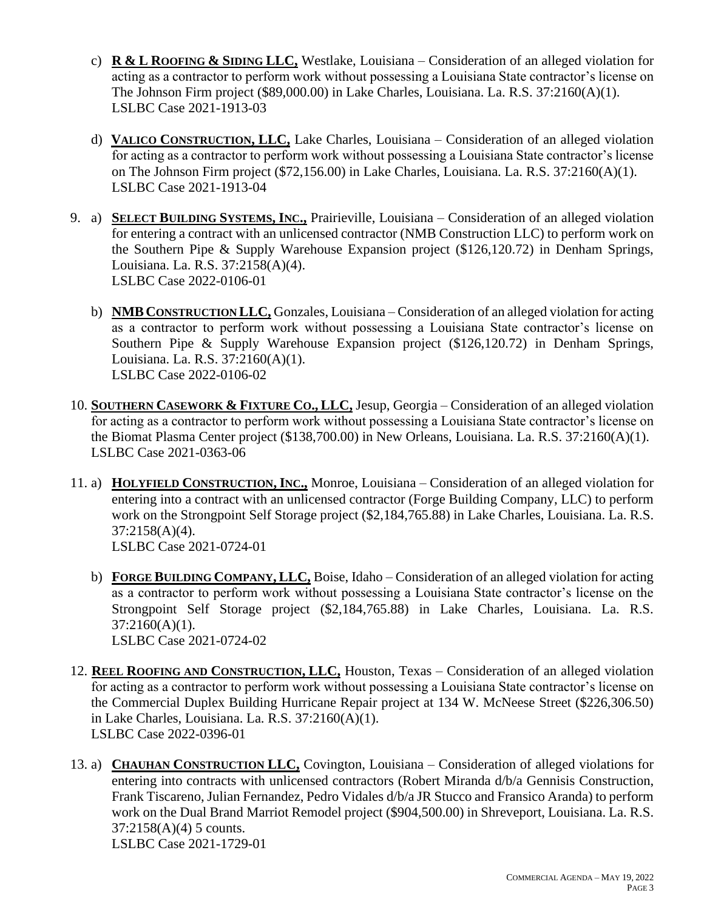- c) **R & L ROOFING & SIDING LLC,** Westlake, Louisiana Consideration of an alleged violation for acting as a contractor to perform work without possessing a Louisiana State contractor's license on The Johnson Firm project (\$89,000.00) in Lake Charles, Louisiana. La. R.S. 37:2160(A)(1). LSLBC Case 2021-1913-03
- d) **VALICO CONSTRUCTION, LLC,** Lake Charles, Louisiana Consideration of an alleged violation for acting as a contractor to perform work without possessing a Louisiana State contractor's license on The Johnson Firm project (\$72,156.00) in Lake Charles, Louisiana. La. R.S. 37:2160(A)(1). LSLBC Case 2021-1913-04
- 9. a) **SELECT BUILDING SYSTEMS, INC.,** Prairieville, Louisiana Consideration of an alleged violation for entering a contract with an unlicensed contractor (NMB Construction LLC) to perform work on the Southern Pipe & Supply Warehouse Expansion project (\$126,120.72) in Denham Springs, Louisiana. La. R.S. 37:2158(A)(4). LSLBC Case 2022-0106-01
	- b) **NMB CONSTRUCTION LLC,** Gonzales, Louisiana Consideration of an alleged violation for acting as a contractor to perform work without possessing a Louisiana State contractor's license on Southern Pipe & Supply Warehouse Expansion project (\$126,120.72) in Denham Springs, Louisiana. La. R.S. 37:2160(A)(1). LSLBC Case 2022-0106-02
- 10. **SOUTHERN CASEWORK & FIXTURE CO., LLC,** Jesup, Georgia Consideration of an alleged violation for acting as a contractor to perform work without possessing a Louisiana State contractor's license on the Biomat Plasma Center project (\$138,700.00) in New Orleans, Louisiana. La. R.S. 37:2160(A)(1). LSLBC Case 2021-0363-06
- 11. a) **HOLYFIELD CONSTRUCTION, INC.,** Monroe, Louisiana Consideration of an alleged violation for entering into a contract with an unlicensed contractor (Forge Building Company, LLC) to perform work on the Strongpoint Self Storage project (\$2,184,765.88) in Lake Charles, Louisiana. La. R.S. 37:2158(A)(4). LSLBC Case 2021-0724-01
	- b) **FORGE BUILDING COMPANY, LLC,** Boise, Idaho Consideration of an alleged violation for acting as a contractor to perform work without possessing a Louisiana State contractor's license on the Strongpoint Self Storage project (\$2,184,765.88) in Lake Charles, Louisiana. La. R.S. 37:2160(A)(1). LSLBC Case 2021-0724-02
- 12. **REEL ROOFING AND CONSTRUCTION, LLC,** Houston, Texas Consideration of an alleged violation for acting as a contractor to perform work without possessing a Louisiana State contractor's license on the Commercial Duplex Building Hurricane Repair project at 134 W. McNeese Street (\$226,306.50) in Lake Charles, Louisiana. La. R.S. 37:2160(A)(1). LSLBC Case 2022-0396-01
- 13. a) **CHAUHAN CONSTRUCTION LLC,** Covington, Louisiana Consideration of alleged violations for entering into contracts with unlicensed contractors (Robert Miranda d/b/a Gennisis Construction, Frank Tiscareno, Julian Fernandez, Pedro Vidales d/b/a JR Stucco and Fransico Aranda) to perform work on the Dual Brand Marriot Remodel project (\$904,500.00) in Shreveport, Louisiana. La. R.S. 37:2158(A)(4) 5 counts. LSLBC Case 2021-1729-01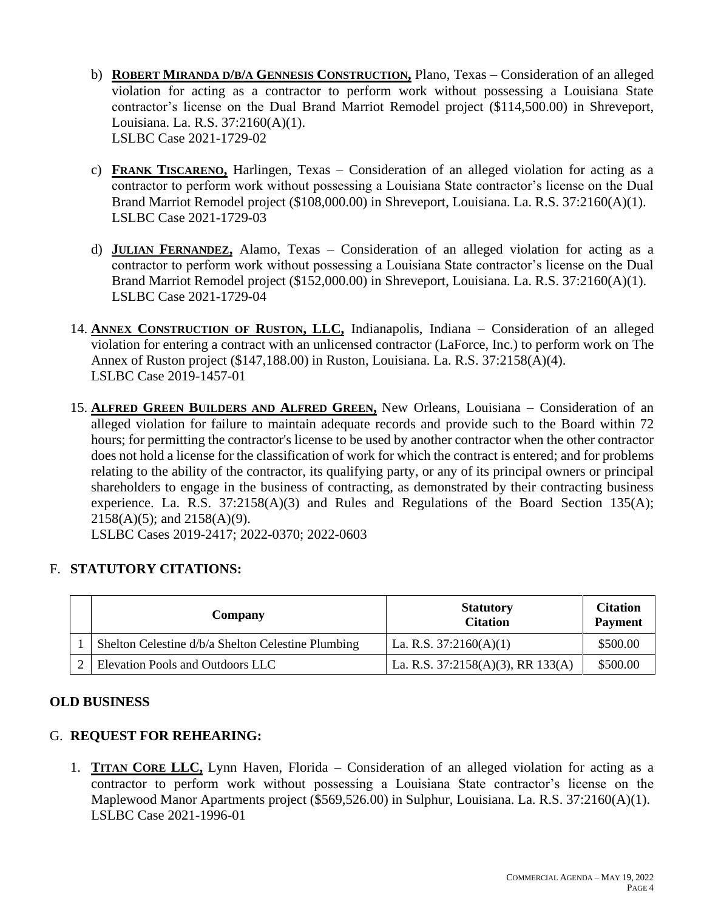- b) **ROBERT MIRANDA D/B/A GENNESIS CONSTRUCTION,** Plano, Texas Consideration of an alleged violation for acting as a contractor to perform work without possessing a Louisiana State contractor's license on the Dual Brand Marriot Remodel project (\$114,500.00) in Shreveport, Louisiana. La. R.S. 37:2160(A)(1). LSLBC Case 2021-1729-02
- c) **FRANK TISCARENO,** Harlingen, Texas Consideration of an alleged violation for acting as a contractor to perform work without possessing a Louisiana State contractor's license on the Dual Brand Marriot Remodel project (\$108,000.00) in Shreveport, Louisiana. La. R.S. 37:2160(A)(1). LSLBC Case 2021-1729-03
- d) **JULIAN FERNANDEZ,** Alamo, Texas Consideration of an alleged violation for acting as a contractor to perform work without possessing a Louisiana State contractor's license on the Dual Brand Marriot Remodel project (\$152,000.00) in Shreveport, Louisiana. La. R.S. 37:2160(A)(1). LSLBC Case 2021-1729-04
- 14. **ANNEX CONSTRUCTION OF RUSTON, LLC,** Indianapolis, Indiana Consideration of an alleged violation for entering a contract with an unlicensed contractor (LaForce, Inc.) to perform work on The Annex of Ruston project (\$147,188.00) in Ruston, Louisiana. La. R.S. 37:2158(A)(4). LSLBC Case 2019-1457-01
- 15. **ALFRED GREEN BUILDERS AND ALFRED GREEN,** New Orleans, Louisiana Consideration of an alleged violation for failure to maintain adequate records and provide such to the Board within 72 hours; for permitting the contractor's license to be used by another contractor when the other contractor does not hold a license for the classification of work for which the contract is entered; and for problems relating to the ability of the contractor, its qualifying party, or any of its principal owners or principal shareholders to engage in the business of contracting, as demonstrated by their contracting business experience. La. R.S. 37:2158(A)(3) and Rules and Regulations of the Board Section 135(A); 2158(A)(5); and 2158(A)(9).

LSLBC Cases 2019-2417; 2022-0370; 2022-0603

# F. **STATUTORY CITATIONS:**

| Company                                            | <b>Statutory</b><br><b>Citation</b>    | <b>Citation</b><br><b>Payment</b> |
|----------------------------------------------------|----------------------------------------|-----------------------------------|
| Shelton Celestine d/b/a Shelton Celestine Plumbing | La. R.S. $37:2160(A)(1)$               | \$500.00                          |
| Elevation Pools and Outdoors LLC                   | La. R.S. $37:2158(A)(3)$ , RR $133(A)$ | \$500.00                          |

# **OLD BUSINESS**

# G. **REQUEST FOR REHEARING:**

1. **TITAN CORE LLC,** Lynn Haven, Florida – Consideration of an alleged violation for acting as a contractor to perform work without possessing a Louisiana State contractor's license on the Maplewood Manor Apartments project (\$569,526.00) in Sulphur, Louisiana. La. R.S. 37:2160(A)(1). LSLBC Case 2021-1996-01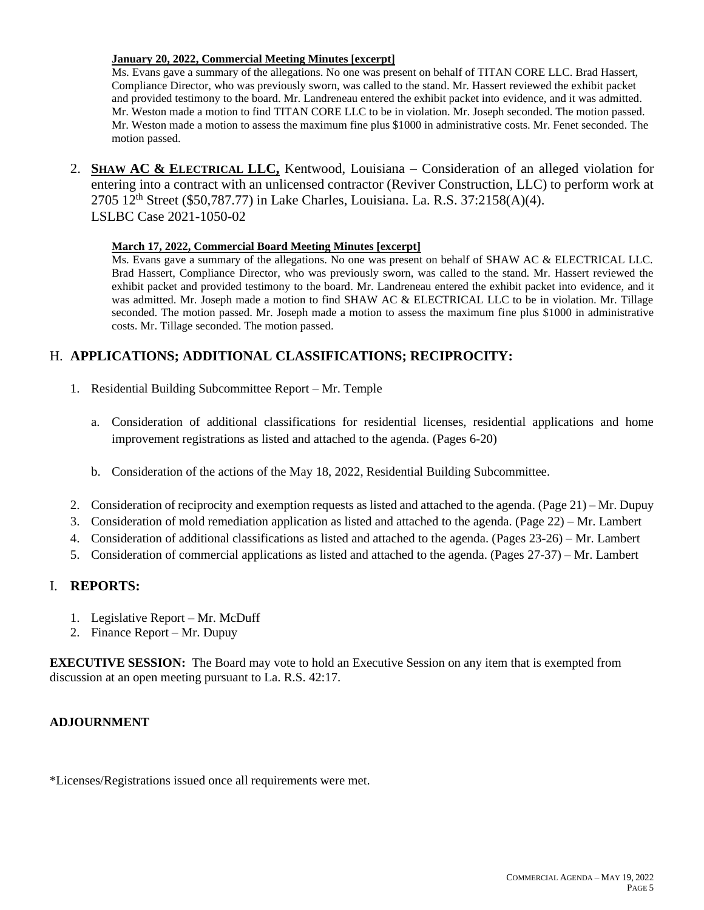## **January 20, 2022, Commercial Meeting Minutes [excerpt]**

Ms. Evans gave a summary of the allegations. No one was present on behalf of TITAN CORE LLC. Brad Hassert, Compliance Director, who was previously sworn, was called to the stand. Mr. Hassert reviewed the exhibit packet and provided testimony to the board. Mr. Landreneau entered the exhibit packet into evidence, and it was admitted. Mr. Weston made a motion to find TITAN CORE LLC to be in violation. Mr. Joseph seconded. The motion passed. Mr. Weston made a motion to assess the maximum fine plus \$1000 in administrative costs. Mr. Fenet seconded. The motion passed.

2. **SHAW AC & ELECTRICAL LLC,** Kentwood, Louisiana – Consideration of an alleged violation for entering into a contract with an unlicensed contractor (Reviver Construction, LLC) to perform work at 2705 12th Street (\$50,787.77) in Lake Charles, Louisiana. La. R.S. 37:2158(A)(4). LSLBC Case 2021-1050-02

## **March 17, 2022, Commercial Board Meeting Minutes [excerpt]**

Ms. Evans gave a summary of the allegations. No one was present on behalf of SHAW AC & ELECTRICAL LLC. Brad Hassert, Compliance Director, who was previously sworn, was called to the stand. Mr. Hassert reviewed the exhibit packet and provided testimony to the board. Mr. Landreneau entered the exhibit packet into evidence, and it was admitted. Mr. Joseph made a motion to find SHAW AC & ELECTRICAL LLC to be in violation. Mr. Tillage seconded. The motion passed. Mr. Joseph made a motion to assess the maximum fine plus \$1000 in administrative costs. Mr. Tillage seconded. The motion passed.

# H. **APPLICATIONS; ADDITIONAL CLASSIFICATIONS; RECIPROCITY:**

- 1. Residential Building Subcommittee Report Mr. Temple
	- a. Consideration of additional classifications for residential licenses, residential applications and home improvement registrations as listed and attached to the agenda. (Pages 6-20)
	- b. Consideration of the actions of the May 18, 2022, Residential Building Subcommittee.
- 2. Consideration of reciprocity and exemption requests as listed and attached to the agenda. (Page 21) Mr. Dupuy
- 3. Consideration of mold remediation application as listed and attached to the agenda. (Page 22) Mr. Lambert
- 4. Consideration of additional classifications as listed and attached to the agenda. (Pages 23-26) Mr. Lambert
- 5. Consideration of commercial applications as listed and attached to the agenda. (Pages 27-37) Mr. Lambert

# I. **REPORTS:**

- 1. Legislative Report Mr. McDuff
- 2. Finance Report Mr. Dupuy

**EXECUTIVE SESSION:** The Board may vote to hold an Executive Session on any item that is exempted from discussion at an open meeting pursuant to La. R.S. 42:17.

# **ADJOURNMENT**

\*Licenses/Registrations issued once all requirements were met.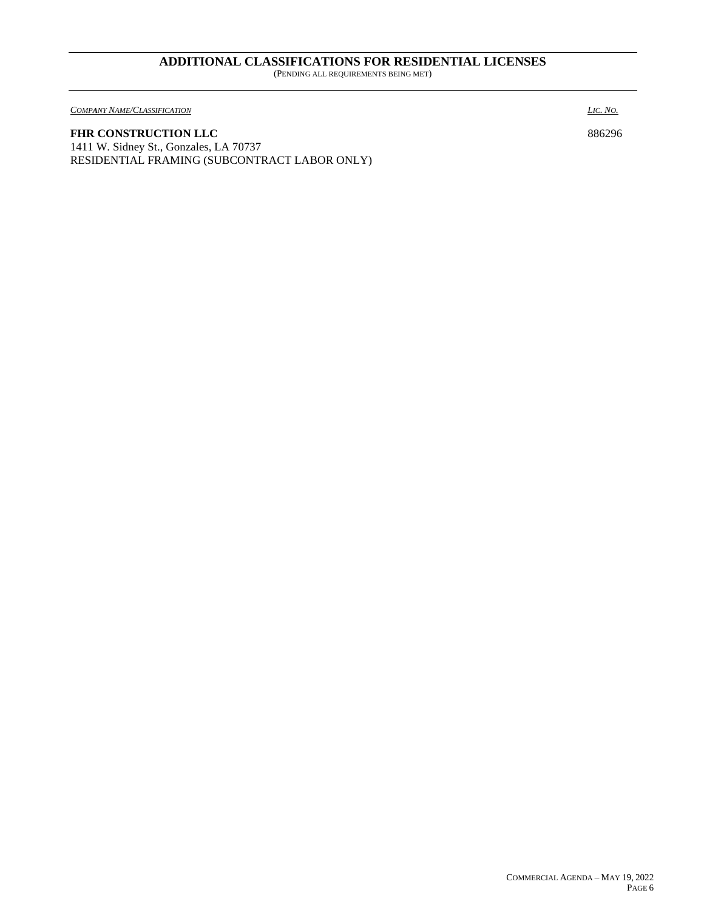#### **ADDITIONAL CLASSIFICATIONS FOR RESIDENTIAL LICENSES** (PENDING ALL REQUIREMENTS BEING MET)

 $\overline{COMPANT NAME/CLASSIFICATION}$  *LIC. NO. A*<sub>*O*</sub>*. A*<sub>*O*</sub>*. A*<sub>*O*</sub>*. A*<sub>*O*</sub>*. A*<sub>*O*</sub>*. A*<sub>*O*</sub>*. A*<sub>*O*</sub>*. A*<sub>*O*</sub>*. A*<sub>*O*</sub>. *A*<sub>*O*</sub>. *A*<sub>*O*</sub>. *A*<sub>*O*</sub>. *A*<sub>*O*</sub>. *A*<sub>*O*</sub>. *A*<sub>*O*</sub>. *A*<sub>*O*</sub>. *A*<sub>*O*</sub>.

## FHR CONSTRUCTION LLC 886296

1411 W. Sidney St., Gonzales, LA 70737 RESIDENTIAL FRAMING (SUBCONTRACT LABOR ONLY)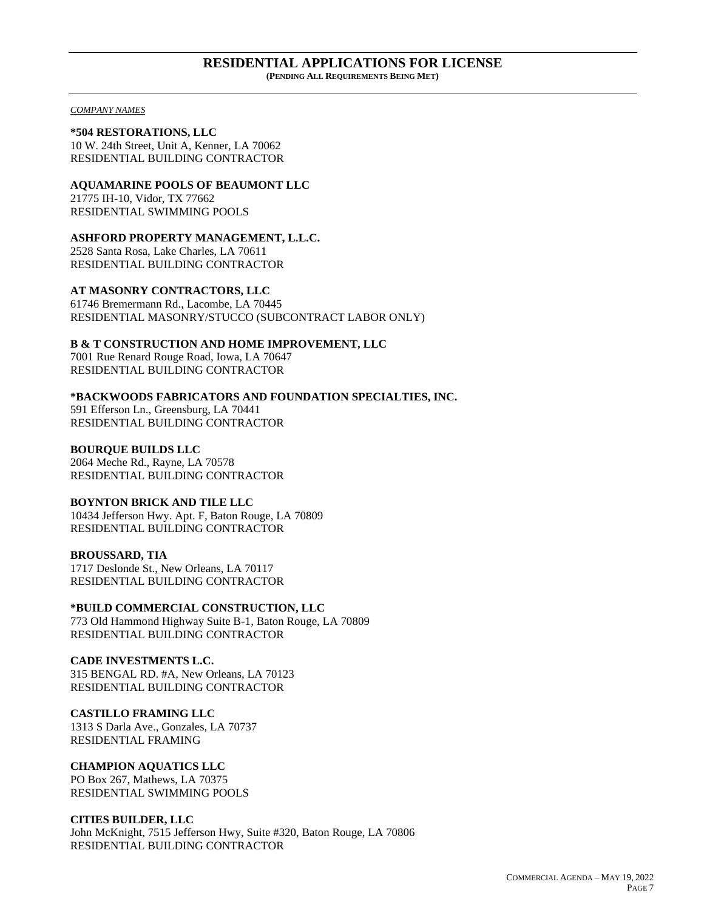#### **RESIDENTIAL APPLICATIONS FOR LICENSE (PENDING ALL REQUIREMENTS BEING MET)**

*COMPANY NAMES*

**\*504 RESTORATIONS, LLC** 10 W. 24th Street, Unit A, Kenner, LA 70062 RESIDENTIAL BUILDING CONTRACTOR

**AQUAMARINE POOLS OF BEAUMONT LLC** 21775 IH-10, Vidor, TX 77662 RESIDENTIAL SWIMMING POOLS

**ASHFORD PROPERTY MANAGEMENT, L.L.C.** 2528 Santa Rosa, Lake Charles, LA 70611

RESIDENTIAL BUILDING CONTRACTOR

**AT MASONRY CONTRACTORS, LLC**

61746 Bremermann Rd., Lacombe, LA 70445 RESIDENTIAL MASONRY/STUCCO (SUBCONTRACT LABOR ONLY)

**B & T CONSTRUCTION AND HOME IMPROVEMENT, LLC**

7001 Rue Renard Rouge Road, Iowa, LA 70647 RESIDENTIAL BUILDING CONTRACTOR

**\*BACKWOODS FABRICATORS AND FOUNDATION SPECIALTIES, INC.** 591 Efferson Ln., Greensburg, LA 70441 RESIDENTIAL BUILDING CONTRACTOR

**BOURQUE BUILDS LLC** 2064 Meche Rd., Rayne, LA 70578 RESIDENTIAL BUILDING CONTRACTOR

**BOYNTON BRICK AND TILE LLC** 10434 Jefferson Hwy. Apt. F, Baton Rouge, LA 70809 RESIDENTIAL BUILDING CONTRACTOR

#### **BROUSSARD, TIA** 1717 Deslonde St., New Orleans, LA 70117 RESIDENTIAL BUILDING CONTRACTOR

**\*BUILD COMMERCIAL CONSTRUCTION, LLC** 773 Old Hammond Highway Suite B-1, Baton Rouge, LA 70809 RESIDENTIAL BUILDING CONTRACTOR

**CADE INVESTMENTS L.C.** 315 BENGAL RD. #A, New Orleans, LA 70123 RESIDENTIAL BUILDING CONTRACTOR

**CASTILLO FRAMING LLC** 1313 S Darla Ave., Gonzales, LA 70737 RESIDENTIAL FRAMING

**CHAMPION AQUATICS LLC** PO Box 267, Mathews, LA 70375 RESIDENTIAL SWIMMING POOLS

**CITIES BUILDER, LLC** John McKnight, 7515 Jefferson Hwy, Suite #320, Baton Rouge, LA 70806 RESIDENTIAL BUILDING CONTRACTOR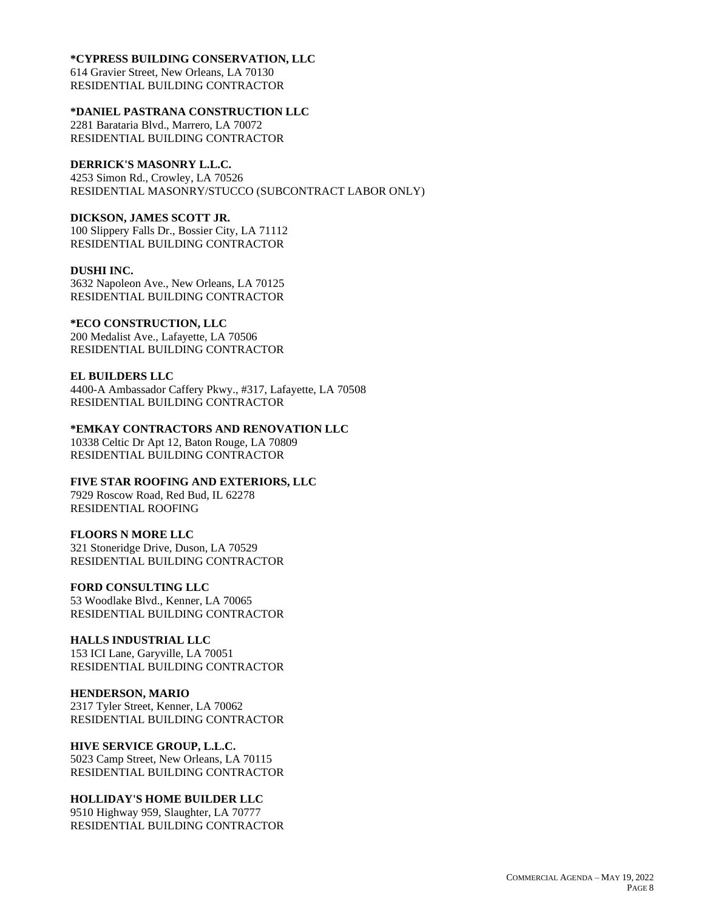#### **\*CYPRESS BUILDING CONSERVATION, LLC**

614 Gravier Street, New Orleans, LA 70130 RESIDENTIAL BUILDING CONTRACTOR

## **\*DANIEL PASTRANA CONSTRUCTION LLC**

2281 Barataria Blvd., Marrero, LA 70072 RESIDENTIAL BUILDING CONTRACTOR

# **DERRICK'S MASONRY L.L.C.**

4253 Simon Rd., Crowley, LA 70526 RESIDENTIAL MASONRY/STUCCO (SUBCONTRACT LABOR ONLY)

# **DICKSON, JAMES SCOTT JR.**

100 Slippery Falls Dr., Bossier City, LA 71112 RESIDENTIAL BUILDING CONTRACTOR

### **DUSHI INC.**

3632 Napoleon Ave., New Orleans, LA 70125 RESIDENTIAL BUILDING CONTRACTOR

## **\*ECO CONSTRUCTION, LLC**

200 Medalist Ave., Lafayette, LA 70506 RESIDENTIAL BUILDING CONTRACTOR

## **EL BUILDERS LLC**

4400-A Ambassador Caffery Pkwy., #317, Lafayette, LA 70508 RESIDENTIAL BUILDING CONTRACTOR

# **\*EMKAY CONTRACTORS AND RENOVATION LLC**

10338 Celtic Dr Apt 12, Baton Rouge, LA 70809 RESIDENTIAL BUILDING CONTRACTOR

# **FIVE STAR ROOFING AND EXTERIORS, LLC**

7929 Roscow Road, Red Bud, IL 62278 RESIDENTIAL ROOFING

### **FLOORS N MORE LLC**

321 Stoneridge Drive, Duson, LA 70529 RESIDENTIAL BUILDING CONTRACTOR

# **FORD CONSULTING LLC**

53 Woodlake Blvd., Kenner, LA 70065 RESIDENTIAL BUILDING CONTRACTOR

# **HALLS INDUSTRIAL LLC**

153 ICI Lane, Garyville, LA 70051 RESIDENTIAL BUILDING CONTRACTOR

### **HENDERSON, MARIO**

2317 Tyler Street, Kenner, LA 70062 RESIDENTIAL BUILDING CONTRACTOR

# **HIVE SERVICE GROUP, L.L.C.**

5023 Camp Street, New Orleans, LA 70115 RESIDENTIAL BUILDING CONTRACTOR

### **HOLLIDAY'S HOME BUILDER LLC**

9510 Highway 959, Slaughter, LA 70777 RESIDENTIAL BUILDING CONTRACTOR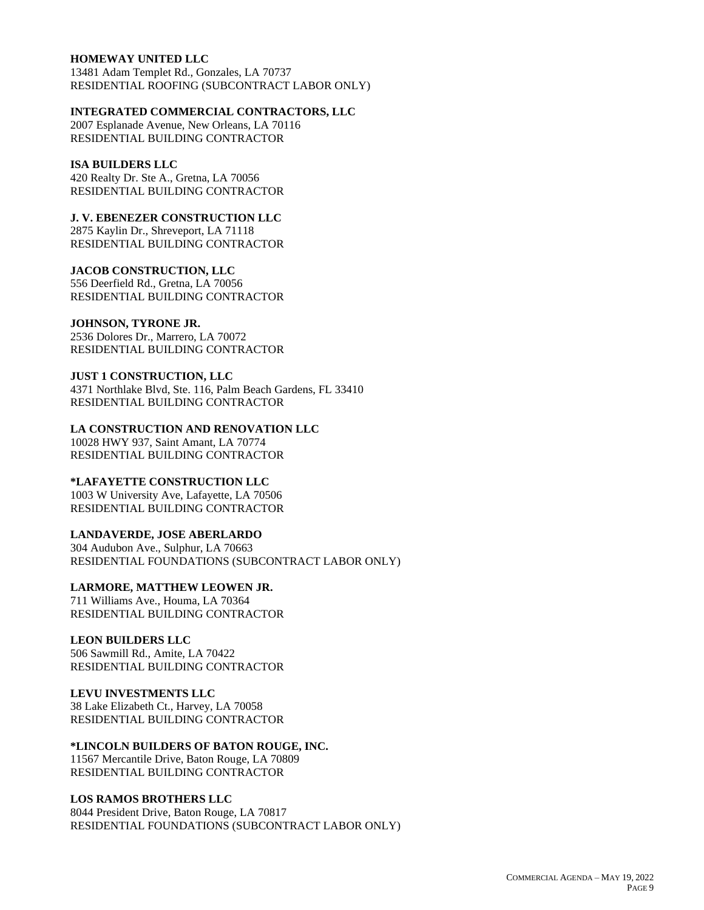### **HOMEWAY UNITED LLC**

13481 Adam Templet Rd., Gonzales, LA 70737 RESIDENTIAL ROOFING (SUBCONTRACT LABOR ONLY)

#### **INTEGRATED COMMERCIAL CONTRACTORS, LLC**

2007 Esplanade Avenue, New Orleans, LA 70116 RESIDENTIAL BUILDING CONTRACTOR

## **ISA BUILDERS LLC**

420 Realty Dr. Ste A., Gretna, LA 70056 RESIDENTIAL BUILDING CONTRACTOR

## **J. V. EBENEZER CONSTRUCTION LLC**

2875 Kaylin Dr., Shreveport, LA 71118 RESIDENTIAL BUILDING CONTRACTOR

#### **JACOB CONSTRUCTION, LLC**

556 Deerfield Rd., Gretna, LA 70056 RESIDENTIAL BUILDING CONTRACTOR

#### **JOHNSON, TYRONE JR.**

2536 Dolores Dr., Marrero, LA 70072 RESIDENTIAL BUILDING CONTRACTOR

#### **JUST 1 CONSTRUCTION, LLC**

4371 Northlake Blvd, Ste. 116, Palm Beach Gardens, FL 33410 RESIDENTIAL BUILDING CONTRACTOR

**LA CONSTRUCTION AND RENOVATION LLC** 10028 HWY 937, Saint Amant, LA 70774

RESIDENTIAL BUILDING CONTRACTOR

# **\*LAFAYETTE CONSTRUCTION LLC**

1003 W University Ave, Lafayette, LA 70506 RESIDENTIAL BUILDING CONTRACTOR

### **LANDAVERDE, JOSE ABERLARDO**

304 Audubon Ave., Sulphur, LA 70663 RESIDENTIAL FOUNDATIONS (SUBCONTRACT LABOR ONLY)

## **LARMORE, MATTHEW LEOWEN JR.**

711 Williams Ave., Houma, LA 70364 RESIDENTIAL BUILDING CONTRACTOR

### **LEON BUILDERS LLC**

506 Sawmill Rd., Amite, LA 70422 RESIDENTIAL BUILDING CONTRACTOR

### **LEVU INVESTMENTS LLC**

38 Lake Elizabeth Ct., Harvey, LA 70058 RESIDENTIAL BUILDING CONTRACTOR

### **\*LINCOLN BUILDERS OF BATON ROUGE, INC.**

11567 Mercantile Drive, Baton Rouge, LA 70809 RESIDENTIAL BUILDING CONTRACTOR

### **LOS RAMOS BROTHERS LLC**

8044 President Drive, Baton Rouge, LA 70817 RESIDENTIAL FOUNDATIONS (SUBCONTRACT LABOR ONLY)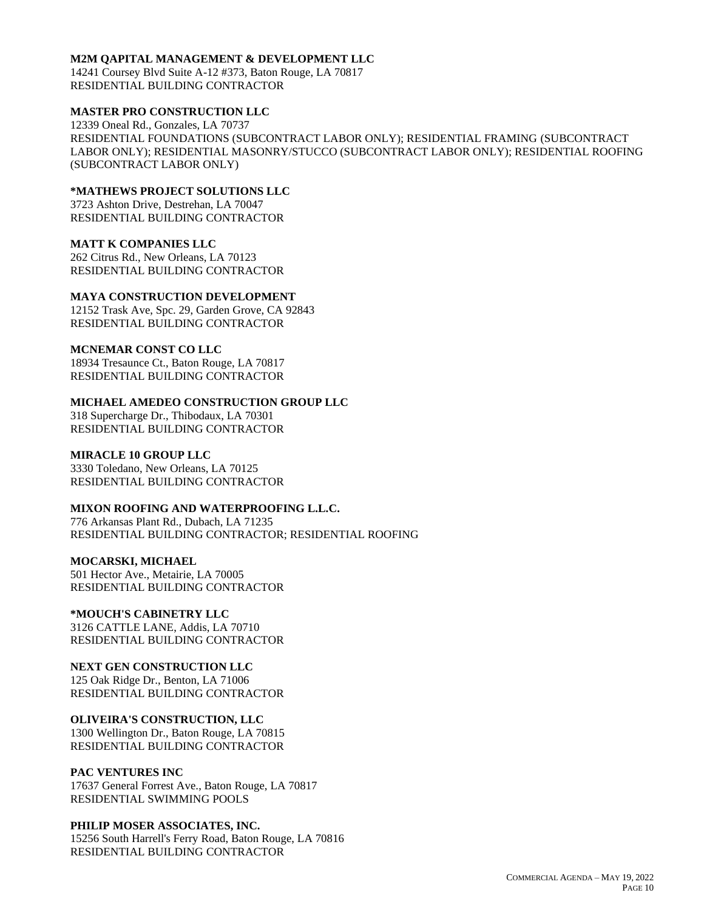#### **M2M QAPITAL MANAGEMENT & DEVELOPMENT LLC**

14241 Coursey Blvd Suite A-12 #373, Baton Rouge, LA 70817 RESIDENTIAL BUILDING CONTRACTOR

## **MASTER PRO CONSTRUCTION LLC**

12339 Oneal Rd., Gonzales, LA 70737 RESIDENTIAL FOUNDATIONS (SUBCONTRACT LABOR ONLY); RESIDENTIAL FRAMING (SUBCONTRACT LABOR ONLY); RESIDENTIAL MASONRY/STUCCO (SUBCONTRACT LABOR ONLY); RESIDENTIAL ROOFING (SUBCONTRACT LABOR ONLY)

## **\*MATHEWS PROJECT SOLUTIONS LLC**

3723 Ashton Drive, Destrehan, LA 70047 RESIDENTIAL BUILDING CONTRACTOR

#### **MATT K COMPANIES LLC**

262 Citrus Rd., New Orleans, LA 70123 RESIDENTIAL BUILDING CONTRACTOR

## **MAYA CONSTRUCTION DEVELOPMENT**

12152 Trask Ave, Spc. 29, Garden Grove, CA 92843 RESIDENTIAL BUILDING CONTRACTOR

## **MCNEMAR CONST CO LLC**

18934 Tresaunce Ct., Baton Rouge, LA 70817 RESIDENTIAL BUILDING CONTRACTOR

### **MICHAEL AMEDEO CONSTRUCTION GROUP LLC**

318 Supercharge Dr., Thibodaux, LA 70301 RESIDENTIAL BUILDING CONTRACTOR

## **MIRACLE 10 GROUP LLC**

3330 Toledano, New Orleans, LA 70125 RESIDENTIAL BUILDING CONTRACTOR

### **MIXON ROOFING AND WATERPROOFING L.L.C.**

776 Arkansas Plant Rd., Dubach, LA 71235 RESIDENTIAL BUILDING CONTRACTOR; RESIDENTIAL ROOFING

### **MOCARSKI, MICHAEL**

501 Hector Ave., Metairie, LA 70005 RESIDENTIAL BUILDING CONTRACTOR

## **\*MOUCH'S CABINETRY LLC**

3126 CATTLE LANE, Addis, LA 70710 RESIDENTIAL BUILDING CONTRACTOR

# **NEXT GEN CONSTRUCTION LLC**

125 Oak Ridge Dr., Benton, LA 71006 RESIDENTIAL BUILDING CONTRACTOR

# **OLIVEIRA'S CONSTRUCTION, LLC**

1300 Wellington Dr., Baton Rouge, LA 70815 RESIDENTIAL BUILDING CONTRACTOR

### **PAC VENTURES INC**

17637 General Forrest Ave., Baton Rouge, LA 70817 RESIDENTIAL SWIMMING POOLS

### **PHILIP MOSER ASSOCIATES, INC.**

15256 South Harrell's Ferry Road, Baton Rouge, LA 70816 RESIDENTIAL BUILDING CONTRACTOR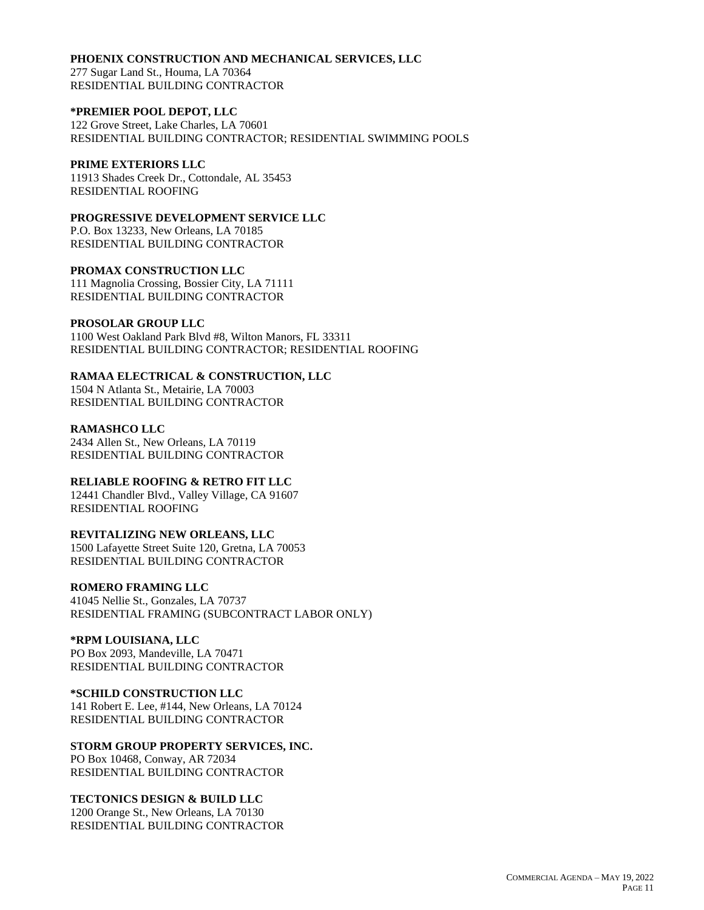#### **PHOENIX CONSTRUCTION AND MECHANICAL SERVICES, LLC**

277 Sugar Land St., Houma, LA 70364 RESIDENTIAL BUILDING CONTRACTOR

### **\*PREMIER POOL DEPOT, LLC**

122 Grove Street, Lake Charles, LA 70601 RESIDENTIAL BUILDING CONTRACTOR; RESIDENTIAL SWIMMING POOLS

## **PRIME EXTERIORS LLC**

11913 Shades Creek Dr., Cottondale, AL 35453 RESIDENTIAL ROOFING

## **PROGRESSIVE DEVELOPMENT SERVICE LLC**

P.O. Box 13233, New Orleans, LA 70185 RESIDENTIAL BUILDING CONTRACTOR

#### **PROMAX CONSTRUCTION LLC**

111 Magnolia Crossing, Bossier City, LA 71111 RESIDENTIAL BUILDING CONTRACTOR

### **PROSOLAR GROUP LLC**

1100 West Oakland Park Blvd #8, Wilton Manors, FL 33311 RESIDENTIAL BUILDING CONTRACTOR; RESIDENTIAL ROOFING

## **RAMAA ELECTRICAL & CONSTRUCTION, LLC**

1504 N Atlanta St., Metairie, LA 70003 RESIDENTIAL BUILDING CONTRACTOR

### **RAMASHCO LLC**

2434 Allen St., New Orleans, LA 70119 RESIDENTIAL BUILDING CONTRACTOR

# **RELIABLE ROOFING & RETRO FIT LLC**

12441 Chandler Blvd., Valley Village, CA 91607 RESIDENTIAL ROOFING

# **REVITALIZING NEW ORLEANS, LLC**

1500 Lafayette Street Suite 120, Gretna, LA 70053 RESIDENTIAL BUILDING CONTRACTOR

## **ROMERO FRAMING LLC**

41045 Nellie St., Gonzales, LA 70737 RESIDENTIAL FRAMING (SUBCONTRACT LABOR ONLY)

## **\*RPM LOUISIANA, LLC**

PO Box 2093, Mandeville, LA 70471 RESIDENTIAL BUILDING CONTRACTOR

### **\*SCHILD CONSTRUCTION LLC**

141 Robert E. Lee, #144, New Orleans, LA 70124 RESIDENTIAL BUILDING CONTRACTOR

### **STORM GROUP PROPERTY SERVICES, INC.**

PO Box 10468, Conway, AR 72034 RESIDENTIAL BUILDING CONTRACTOR

### **TECTONICS DESIGN & BUILD LLC**

1200 Orange St., New Orleans, LA 70130 RESIDENTIAL BUILDING CONTRACTOR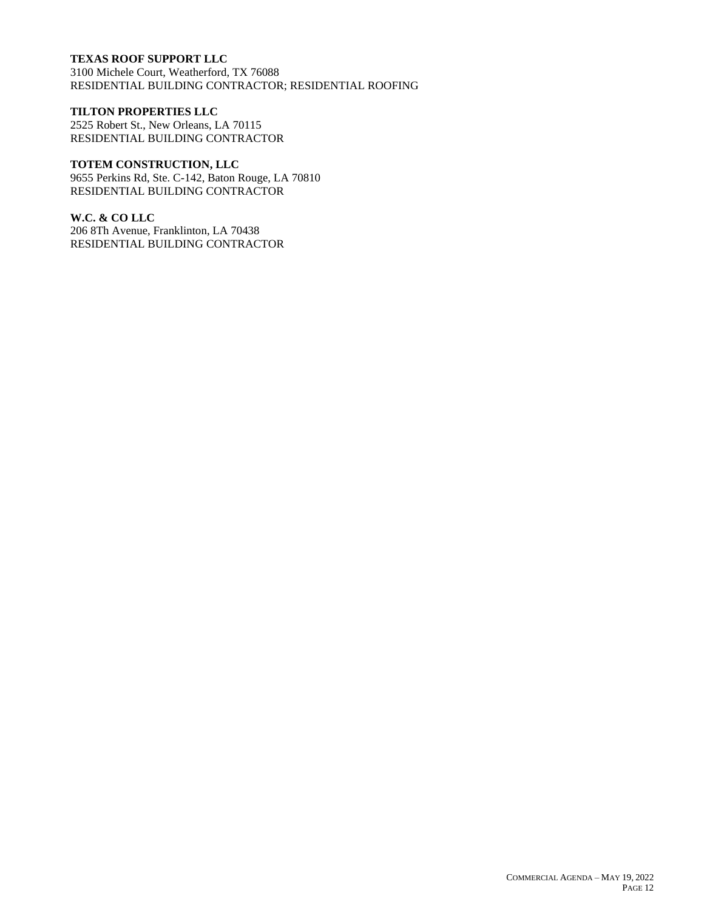# **TEXAS ROOF SUPPORT LLC**

3100 Michele Court, Weatherford, TX 76088 RESIDENTIAL BUILDING CONTRACTOR; RESIDENTIAL ROOFING

### **TILTON PROPERTIES LLC**

2525 Robert St., New Orleans, LA 70115 RESIDENTIAL BUILDING CONTRACTOR

# **TOTEM CONSTRUCTION, LLC**

9655 Perkins Rd, Ste. C-142, Baton Rouge, LA 70810 RESIDENTIAL BUILDING CONTRACTOR

## **W.C. & CO LLC**

206 8Th Avenue, Franklinton, LA 70438 RESIDENTIAL BUILDING CONTRACTOR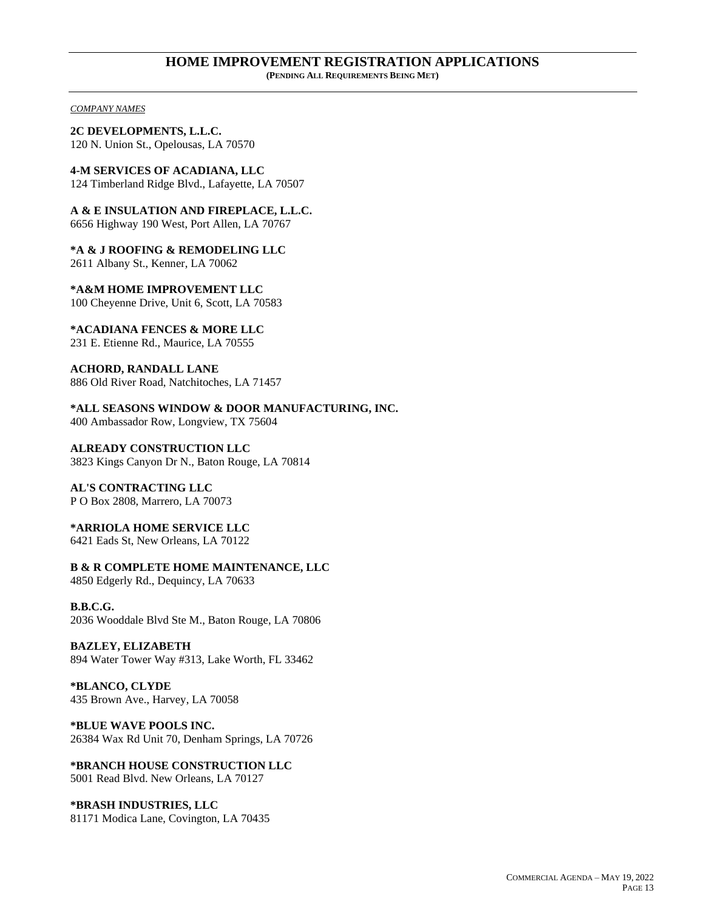#### **HOME IMPROVEMENT REGISTRATION APPLICATIONS (PENDING ALL REQUIREMENTS BEING MET)**

*COMPANY NAMES*

**2C DEVELOPMENTS, L.L.C.** 120 N. Union St., Opelousas, LA 70570

**4-M SERVICES OF ACADIANA, LLC** 124 Timberland Ridge Blvd., Lafayette, LA 70507

**A & E INSULATION AND FIREPLACE, L.L.C.**

6656 Highway 190 West, Port Allen, LA 70767

**\*A & J ROOFING & REMODELING LLC** 2611 Albany St., Kenner, LA 70062

**\*A&M HOME IMPROVEMENT LLC** 100 Cheyenne Drive, Unit 6, Scott, LA 70583

**\*ACADIANA FENCES & MORE LLC** 231 E. Etienne Rd., Maurice, LA 70555

**ACHORD, RANDALL LANE** 886 Old River Road, Natchitoches, LA 71457

**\*ALL SEASONS WINDOW & DOOR MANUFACTURING, INC.**

400 Ambassador Row, Longview, TX 75604

**ALREADY CONSTRUCTION LLC** 3823 Kings Canyon Dr N., Baton Rouge, LA 70814

**AL'S CONTRACTING LLC** P O Box 2808, Marrero, LA 70073

# **\*ARRIOLA HOME SERVICE LLC**

6421 Eads St, New Orleans, LA 70122

**B & R COMPLETE HOME MAINTENANCE, LLC** 4850 Edgerly Rd., Dequincy, LA 70633

**B.B.C.G.** 2036 Wooddale Blvd Ste M., Baton Rouge, LA 70806

**BAZLEY, ELIZABETH** 894 Water Tower Way #313, Lake Worth, FL 33462

**\*BLANCO, CLYDE** 435 Brown Ave., Harvey, LA 70058

**\*BLUE WAVE POOLS INC.** 26384 Wax Rd Unit 70, Denham Springs, LA 70726

**\*BRANCH HOUSE CONSTRUCTION LLC** 5001 Read Blvd. New Orleans, LA 70127

**\*BRASH INDUSTRIES, LLC** 81171 Modica Lane, Covington, LA 70435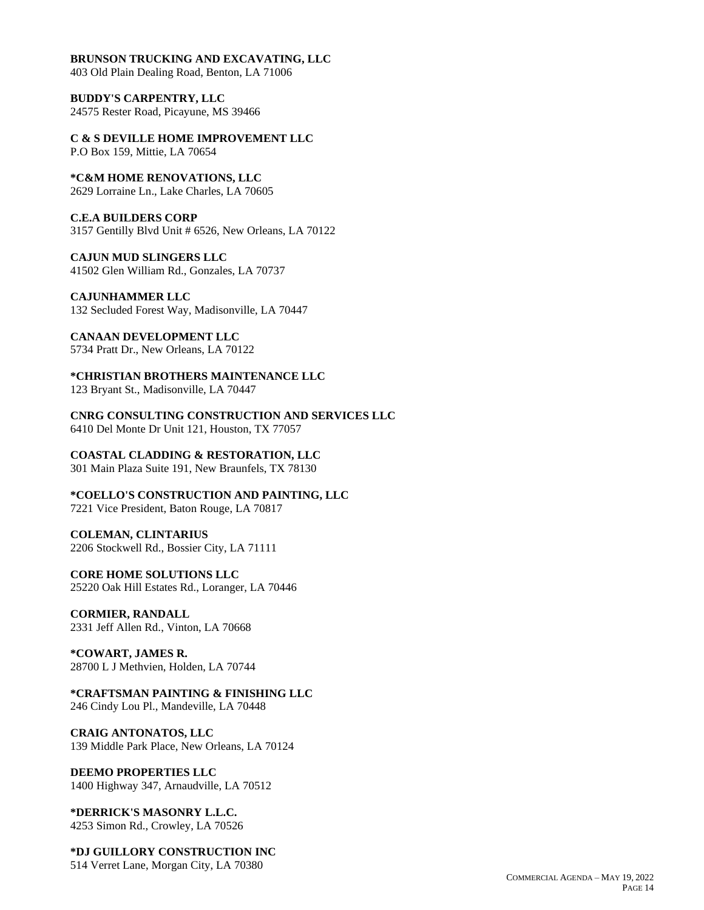#### **BRUNSON TRUCKING AND EXCAVATING, LLC**

403 Old Plain Dealing Road, Benton, LA 71006

**BUDDY'S CARPENTRY, LLC** 24575 Rester Road, Picayune, MS 39466

**C & S DEVILLE HOME IMPROVEMENT LLC**

P.O Box 159, Mittie, LA 70654

**\*C&M HOME RENOVATIONS, LLC** 2629 Lorraine Ln., Lake Charles, LA 70605

# **C.E.A BUILDERS CORP**

3157 Gentilly Blvd Unit # 6526, New Orleans, LA 70122

**CAJUN MUD SLINGERS LLC** 41502 Glen William Rd., Gonzales, LA 70737

**CAJUNHAMMER LLC** 132 Secluded Forest Way, Madisonville, LA 70447

**CANAAN DEVELOPMENT LLC** 5734 Pratt Dr., New Orleans, LA 70122

**\*CHRISTIAN BROTHERS MAINTENANCE LLC** 123 Bryant St., Madisonville, LA 70447

**CNRG CONSULTING CONSTRUCTION AND SERVICES LLC** 6410 Del Monte Dr Unit 121, Houston, TX 77057

**COASTAL CLADDING & RESTORATION, LLC** 301 Main Plaza Suite 191, New Braunfels, TX 78130

**\*COELLO'S CONSTRUCTION AND PAINTING, LLC** 7221 Vice President, Baton Rouge, LA 70817

**COLEMAN, CLINTARIUS** 2206 Stockwell Rd., Bossier City, LA 71111

**CORE HOME SOLUTIONS LLC** 25220 Oak Hill Estates Rd., Loranger, LA 70446

**CORMIER, RANDALL** 2331 Jeff Allen Rd., Vinton, LA 70668

**\*COWART, JAMES R.** 28700 L J Methvien, Holden, LA 70744

**\*CRAFTSMAN PAINTING & FINISHING LLC** 246 Cindy Lou Pl., Mandeville, LA 70448

**CRAIG ANTONATOS, LLC** 139 Middle Park Place, New Orleans, LA 70124

**DEEMO PROPERTIES LLC** 1400 Highway 347, Arnaudville, LA 70512

**\*DERRICK'S MASONRY L.L.C.** 4253 Simon Rd., Crowley, LA 70526

**\*DJ GUILLORY CONSTRUCTION INC** 514 Verret Lane, Morgan City, LA 70380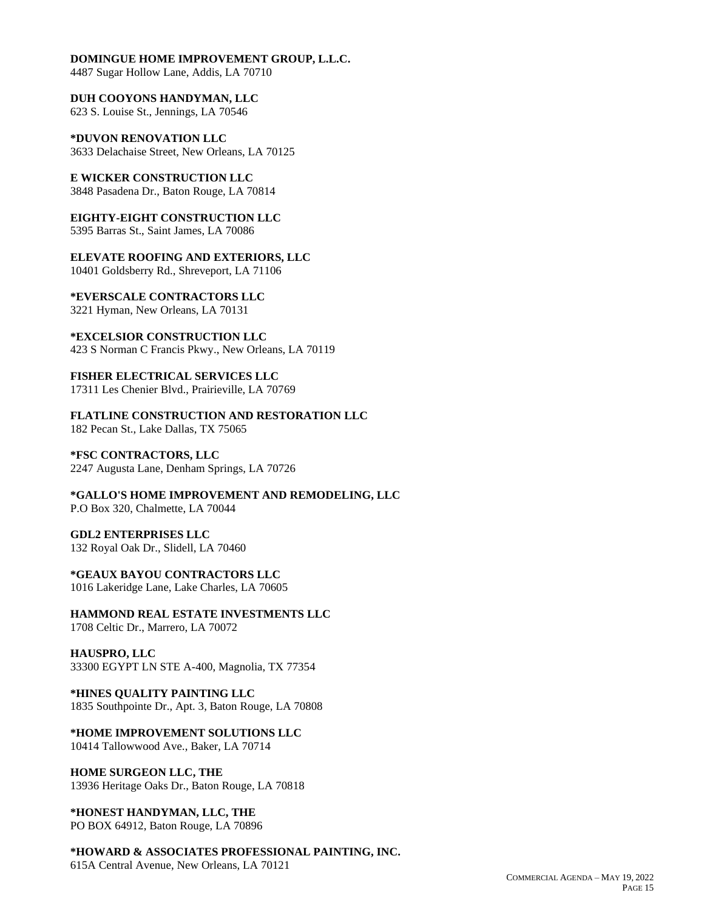#### **DOMINGUE HOME IMPROVEMENT GROUP, L.L.C.**

4487 Sugar Hollow Lane, Addis, LA 70710

**DUH COOYONS HANDYMAN, LLC** 623 S. Louise St., Jennings, LA 70546

**\*DUVON RENOVATION LLC** 3633 Delachaise Street, New Orleans, LA 70125

**E WICKER CONSTRUCTION LLC** 3848 Pasadena Dr., Baton Rouge, LA 70814

**EIGHTY-EIGHT CONSTRUCTION LLC** 5395 Barras St., Saint James, LA 70086

**ELEVATE ROOFING AND EXTERIORS, LLC** 10401 Goldsberry Rd., Shreveport, LA 71106

**\*EVERSCALE CONTRACTORS LLC** 3221 Hyman, New Orleans, LA 70131

**\*EXCELSIOR CONSTRUCTION LLC** 423 S Norman C Francis Pkwy., New Orleans, LA 70119

**FISHER ELECTRICAL SERVICES LLC** 17311 Les Chenier Blvd., Prairieville, LA 70769

**FLATLINE CONSTRUCTION AND RESTORATION LLC** 182 Pecan St., Lake Dallas, TX 75065

**\*FSC CONTRACTORS, LLC** 2247 Augusta Lane, Denham Springs, LA 70726

**\*GALLO'S HOME IMPROVEMENT AND REMODELING, LLC** P.O Box 320, Chalmette, LA 70044

**GDL2 ENTERPRISES LLC** 132 Royal Oak Dr., Slidell, LA 70460

**\*GEAUX BAYOU CONTRACTORS LLC** 1016 Lakeridge Lane, Lake Charles, LA 70605

**HAMMOND REAL ESTATE INVESTMENTS LLC** 1708 Celtic Dr., Marrero, LA 70072

**HAUSPRO, LLC** 33300 EGYPT LN STE A-400, Magnolia, TX 77354

**\*HINES QUALITY PAINTING LLC** 1835 Southpointe Dr., Apt. 3, Baton Rouge, LA 70808

**\*HOME IMPROVEMENT SOLUTIONS LLC** 10414 Tallowwood Ave., Baker, LA 70714

**HOME SURGEON LLC, THE** 13936 Heritage Oaks Dr., Baton Rouge, LA 70818

**\*HONEST HANDYMAN, LLC, THE** PO BOX 64912, Baton Rouge, LA 70896

**\*HOWARD & ASSOCIATES PROFESSIONAL PAINTING, INC.**

615A Central Avenue, New Orleans, LA 70121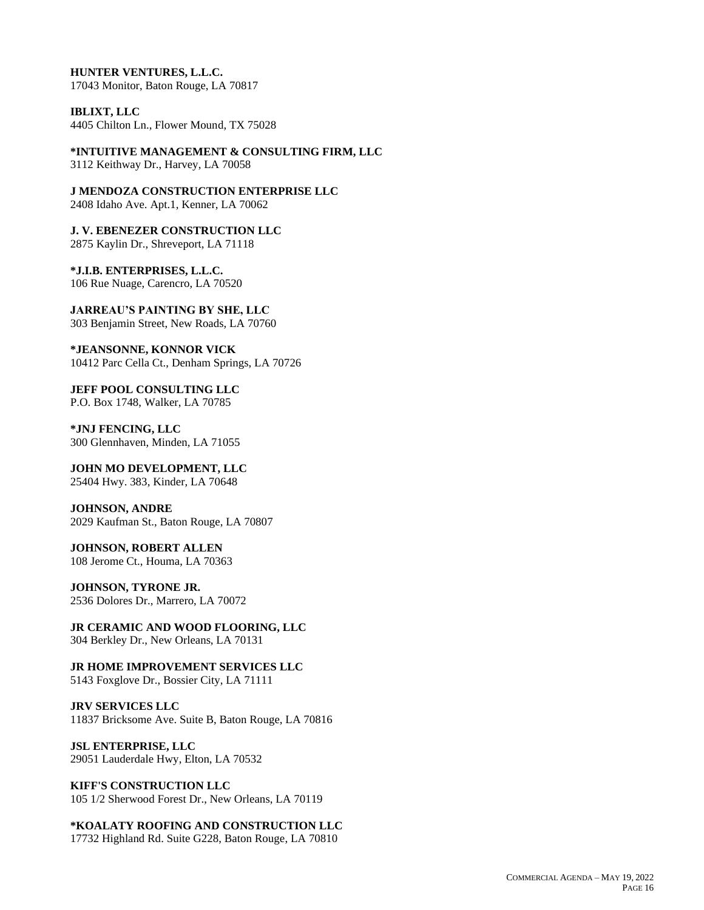**HUNTER VENTURES, L.L.C.** 17043 Monitor, Baton Rouge, LA 70817

**IBLIXT, LLC** 4405 Chilton Ln., Flower Mound, TX 75028

**\*INTUITIVE MANAGEMENT & CONSULTING FIRM, LLC** 3112 Keithway Dr., Harvey, LA 70058

**J MENDOZA CONSTRUCTION ENTERPRISE LLC** 2408 Idaho Ave. Apt.1, Kenner, LA 70062

**J. V. EBENEZER CONSTRUCTION LLC** 2875 Kaylin Dr., Shreveport, LA 71118

**\*J.I.B. ENTERPRISES, L.L.C.** 106 Rue Nuage, Carencro, LA 70520

**JARREAU'S PAINTING BY SHE, LLC** 303 Benjamin Street, New Roads, LA 70760

**\*JEANSONNE, KONNOR VICK** 10412 Parc Cella Ct., Denham Springs, LA 70726

**JEFF POOL CONSULTING LLC** P.O. Box 1748, Walker, LA 70785

**\*JNJ FENCING, LLC** 300 Glennhaven, Minden, LA 71055

**JOHN MO DEVELOPMENT, LLC** 25404 Hwy. 383, Kinder, LA 70648

**JOHNSON, ANDRE** 2029 Kaufman St., Baton Rouge, LA 70807

**JOHNSON, ROBERT ALLEN** 108 Jerome Ct., Houma, LA 70363

**JOHNSON, TYRONE JR.** 2536 Dolores Dr., Marrero, LA 70072

**JR CERAMIC AND WOOD FLOORING, LLC** 304 Berkley Dr., New Orleans, LA 70131

**JR HOME IMPROVEMENT SERVICES LLC** 5143 Foxglove Dr., Bossier City, LA 71111

**JRV SERVICES LLC** 11837 Bricksome Ave. Suite B, Baton Rouge, LA 70816

**JSL ENTERPRISE, LLC** 29051 Lauderdale Hwy, Elton, LA 70532

**KIFF'S CONSTRUCTION LLC** 105 1/2 Sherwood Forest Dr., New Orleans, LA 70119

**\*KOALATY ROOFING AND CONSTRUCTION LLC** 17732 Highland Rd. Suite G228, Baton Rouge, LA 70810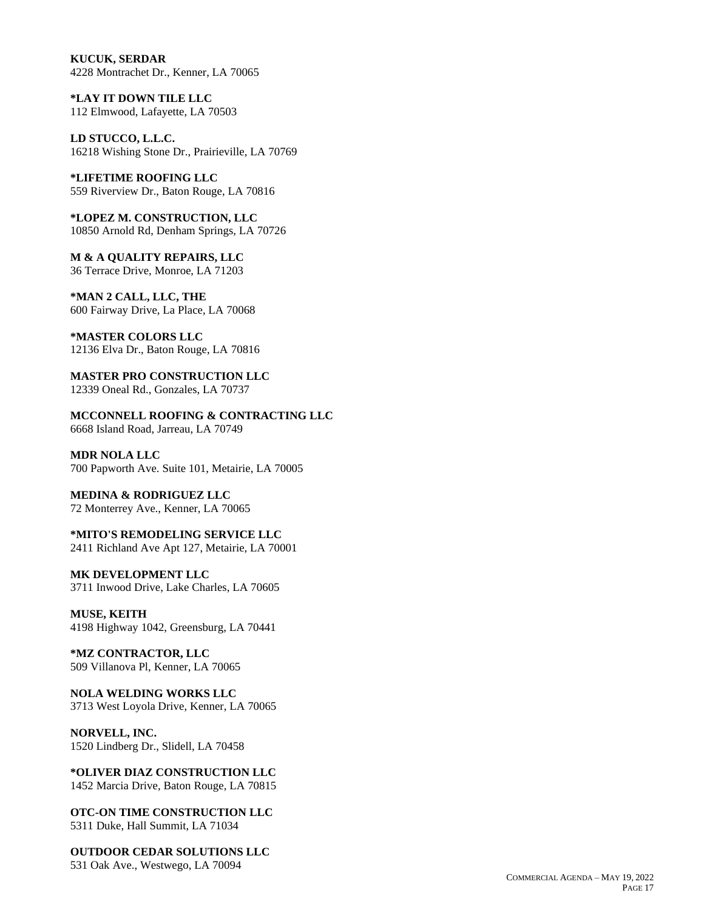**KUCUK, SERDAR** 4228 Montrachet Dr., Kenner, LA 70065

**\*LAY IT DOWN TILE LLC** 112 Elmwood, Lafayette, LA 70503

**LD STUCCO, L.L.C.** 16218 Wishing Stone Dr., Prairieville, LA 70769

**\*LIFETIME ROOFING LLC** 559 Riverview Dr., Baton Rouge, LA 70816

**\*LOPEZ M. CONSTRUCTION, LLC** 10850 Arnold Rd, Denham Springs, LA 70726

**M & A QUALITY REPAIRS, LLC** 36 Terrace Drive, Monroe, LA 71203

**\*MAN 2 CALL, LLC, THE** 600 Fairway Drive, La Place, LA 70068

**\*MASTER COLORS LLC** 12136 Elva Dr., Baton Rouge, LA 70816

**MASTER PRO CONSTRUCTION LLC** 12339 Oneal Rd., Gonzales, LA 70737

**MCCONNELL ROOFING & CONTRACTING LLC** 6668 Island Road, Jarreau, LA 70749

**MDR NOLA LLC** 700 Papworth Ave. Suite 101, Metairie, LA 70005

**MEDINA & RODRIGUEZ LLC** 72 Monterrey Ave., Kenner, LA 70065

**\*MITO'S REMODELING SERVICE LLC** 2411 Richland Ave Apt 127, Metairie, LA 70001

**MK DEVELOPMENT LLC** 3711 Inwood Drive, Lake Charles, LA 70605

**MUSE, KEITH** 4198 Highway 1042, Greensburg, LA 70441

**\*MZ CONTRACTOR, LLC** 509 Villanova Pl, Kenner, LA 70065

**NOLA WELDING WORKS LLC** 3713 West Loyola Drive, Kenner, LA 70065

**NORVELL, INC.** 1520 Lindberg Dr., Slidell, LA 70458

**\*OLIVER DIAZ CONSTRUCTION LLC** 1452 Marcia Drive, Baton Rouge, LA 70815

**OTC-ON TIME CONSTRUCTION LLC** 5311 Duke, Hall Summit, LA 71034

**OUTDOOR CEDAR SOLUTIONS LLC** 531 Oak Ave., Westwego, LA 70094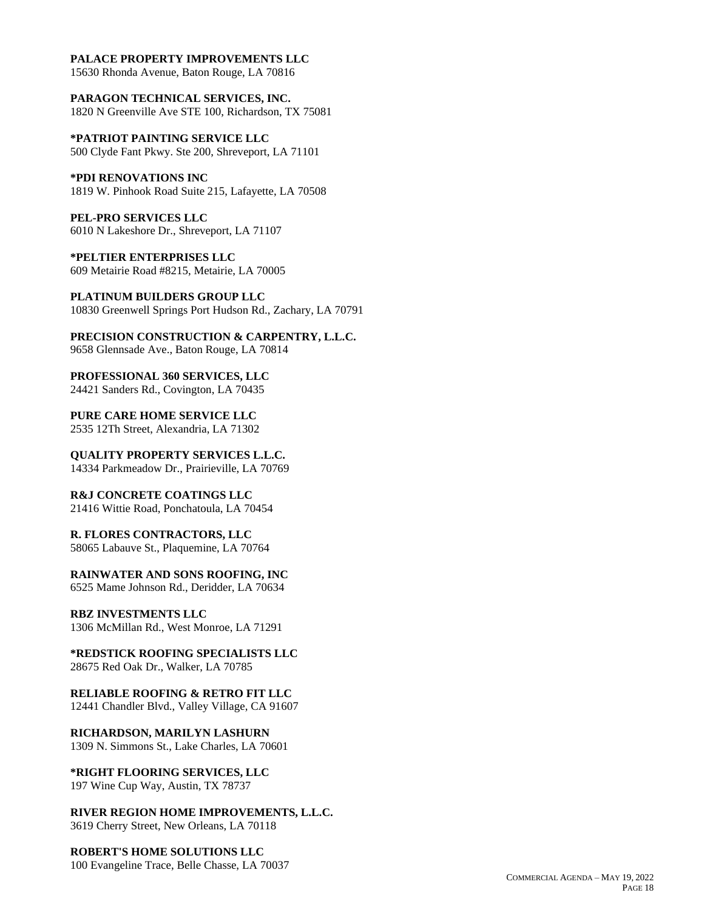### **PALACE PROPERTY IMPROVEMENTS LLC**

15630 Rhonda Avenue, Baton Rouge, LA 70816

**PARAGON TECHNICAL SERVICES, INC.** 1820 N Greenville Ave STE 100, Richardson, TX 75081

**\*PATRIOT PAINTING SERVICE LLC** 500 Clyde Fant Pkwy. Ste 200, Shreveport, LA 71101

**\*PDI RENOVATIONS INC** 1819 W. Pinhook Road Suite 215, Lafayette, LA 70508

**PEL-PRO SERVICES LLC** 6010 N Lakeshore Dr., Shreveport, LA 71107

**\*PELTIER ENTERPRISES LLC** 609 Metairie Road #8215, Metairie, LA 70005

**PLATINUM BUILDERS GROUP LLC** 10830 Greenwell Springs Port Hudson Rd., Zachary, LA 70791

**PRECISION CONSTRUCTION & CARPENTRY, L.L.C.** 9658 Glennsade Ave., Baton Rouge, LA 70814

**PROFESSIONAL 360 SERVICES, LLC** 24421 Sanders Rd., Covington, LA 70435

**PURE CARE HOME SERVICE LLC** 2535 12Th Street, Alexandria, LA 71302

**QUALITY PROPERTY SERVICES L.L.C.** 14334 Parkmeadow Dr., Prairieville, LA 70769

**R&J CONCRETE COATINGS LLC** 21416 Wittie Road, Ponchatoula, LA 70454

**R. FLORES CONTRACTORS, LLC** 58065 Labauve St., Plaquemine, LA 70764

**RAINWATER AND SONS ROOFING, INC** 6525 Mame Johnson Rd., Deridder, LA 70634

**RBZ INVESTMENTS LLC** 1306 McMillan Rd., West Monroe, LA 71291

**\*REDSTICK ROOFING SPECIALISTS LLC** 28675 Red Oak Dr., Walker, LA 70785

**RELIABLE ROOFING & RETRO FIT LLC** 12441 Chandler Blvd., Valley Village, CA 91607

**RICHARDSON, MARILYN LASHURN** 1309 N. Simmons St., Lake Charles, LA 70601

**\*RIGHT FLOORING SERVICES, LLC** 197 Wine Cup Way, Austin, TX 78737

**RIVER REGION HOME IMPROVEMENTS, L.L.C.** 3619 Cherry Street, New Orleans, LA 70118

**ROBERT'S HOME SOLUTIONS LLC** 100 Evangeline Trace, Belle Chasse, LA 70037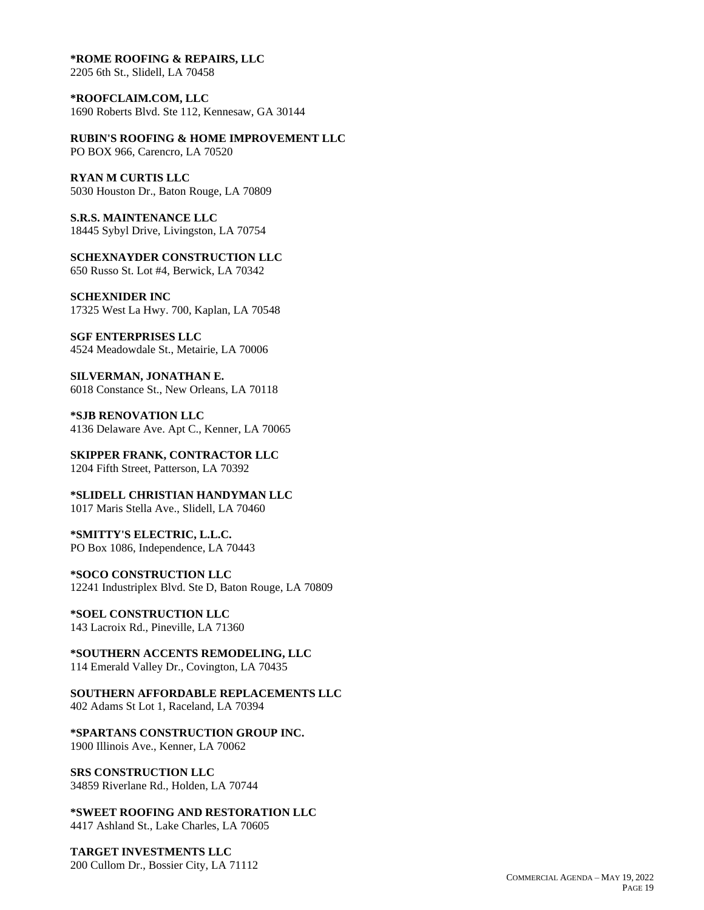#### **\*ROME ROOFING & REPAIRS, LLC**

2205 6th St., Slidell, LA 70458

**\*ROOFCLAIM.COM, LLC** 1690 Roberts Blvd. Ste 112, Kennesaw, GA 30144

**RUBIN'S ROOFING & HOME IMPROVEMENT LLC**

PO BOX 966, Carencro, LA 70520

**RYAN M CURTIS LLC**

5030 Houston Dr., Baton Rouge, LA 70809

**S.R.S. MAINTENANCE LLC** 18445 Sybyl Drive, Livingston, LA 70754

**SCHEXNAYDER CONSTRUCTION LLC** 650 Russo St. Lot #4, Berwick, LA 70342

**SCHEXNIDER INC** 17325 West La Hwy. 700, Kaplan, LA 70548

**SGF ENTERPRISES LLC** 4524 Meadowdale St., Metairie, LA 70006

**SILVERMAN, JONATHAN E.** 6018 Constance St., New Orleans, LA 70118

**\*SJB RENOVATION LLC** 4136 Delaware Ave. Apt C., Kenner, LA 70065

**SKIPPER FRANK, CONTRACTOR LLC** 1204 Fifth Street, Patterson, LA 70392

**\*SLIDELL CHRISTIAN HANDYMAN LLC** 1017 Maris Stella Ave., Slidell, LA 70460

**\*SMITTY'S ELECTRIC, L.L.C.** PO Box 1086, Independence, LA 70443

**\*SOCO CONSTRUCTION LLC** 12241 Industriplex Blvd. Ste D, Baton Rouge, LA 70809

**\*SOEL CONSTRUCTION LLC** 143 Lacroix Rd., Pineville, LA 71360

**\*SOUTHERN ACCENTS REMODELING, LLC** 114 Emerald Valley Dr., Covington, LA 70435

**SOUTHERN AFFORDABLE REPLACEMENTS LLC** 402 Adams St Lot 1, Raceland, LA 70394

**\*SPARTANS CONSTRUCTION GROUP INC.** 1900 Illinois Ave., Kenner, LA 70062

**SRS CONSTRUCTION LLC** 34859 Riverlane Rd., Holden, LA 70744

**\*SWEET ROOFING AND RESTORATION LLC** 4417 Ashland St., Lake Charles, LA 70605

**TARGET INVESTMENTS LLC** 200 Cullom Dr., Bossier City, LA 71112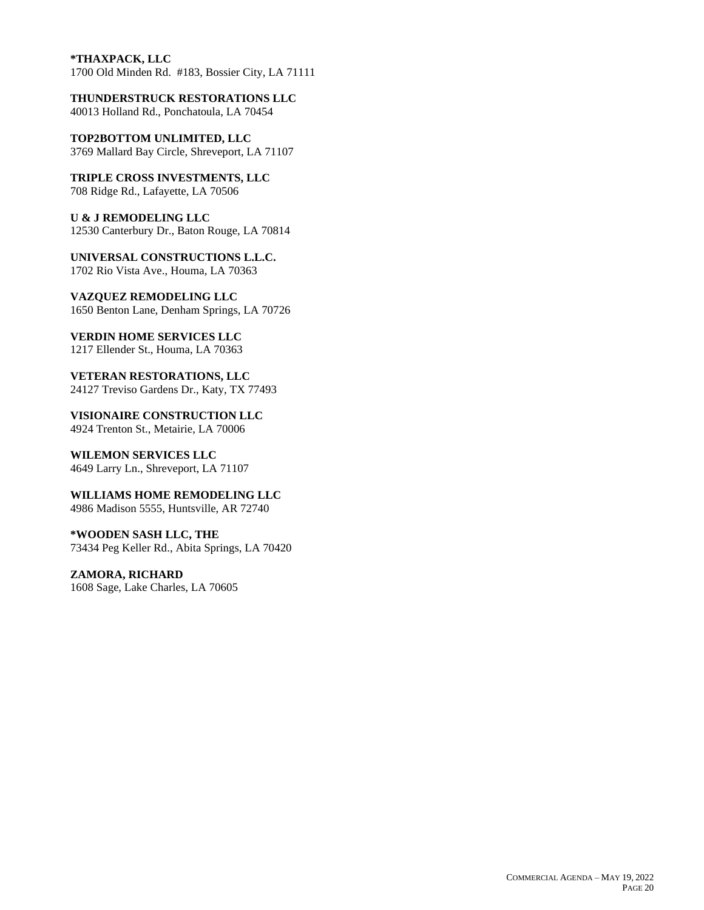### **\*THAXPACK, LLC**

1700 Old Minden Rd. #183, Bossier City, LA 71111

**THUNDERSTRUCK RESTORATIONS LLC** 40013 Holland Rd., Ponchatoula, LA 70454

**TOP2BOTTOM UNLIMITED, LLC**

3769 Mallard Bay Circle, Shreveport, LA 71107

**TRIPLE CROSS INVESTMENTS, LLC** 708 Ridge Rd., Lafayette, LA 70506

**U & J REMODELING LLC** 12530 Canterbury Dr., Baton Rouge, LA 70814

**UNIVERSAL CONSTRUCTIONS L.L.C.** 1702 Rio Vista Ave., Houma, LA 70363

**VAZQUEZ REMODELING LLC** 1650 Benton Lane, Denham Springs, LA 70726

**VERDIN HOME SERVICES LLC** 1217 Ellender St., Houma, LA 70363

**VETERAN RESTORATIONS, LLC** 24127 Treviso Gardens Dr., Katy, TX 77493

**VISIONAIRE CONSTRUCTION LLC** 4924 Trenton St., Metairie, LA 70006

**WILEMON SERVICES LLC** 4649 Larry Ln., Shreveport, LA 71107

**WILLIAMS HOME REMODELING LLC** 4986 Madison 5555, Huntsville, AR 72740

**\*WOODEN SASH LLC, THE** 73434 Peg Keller Rd., Abita Springs, LA 70420

**ZAMORA, RICHARD** 1608 Sage, Lake Charles, LA 70605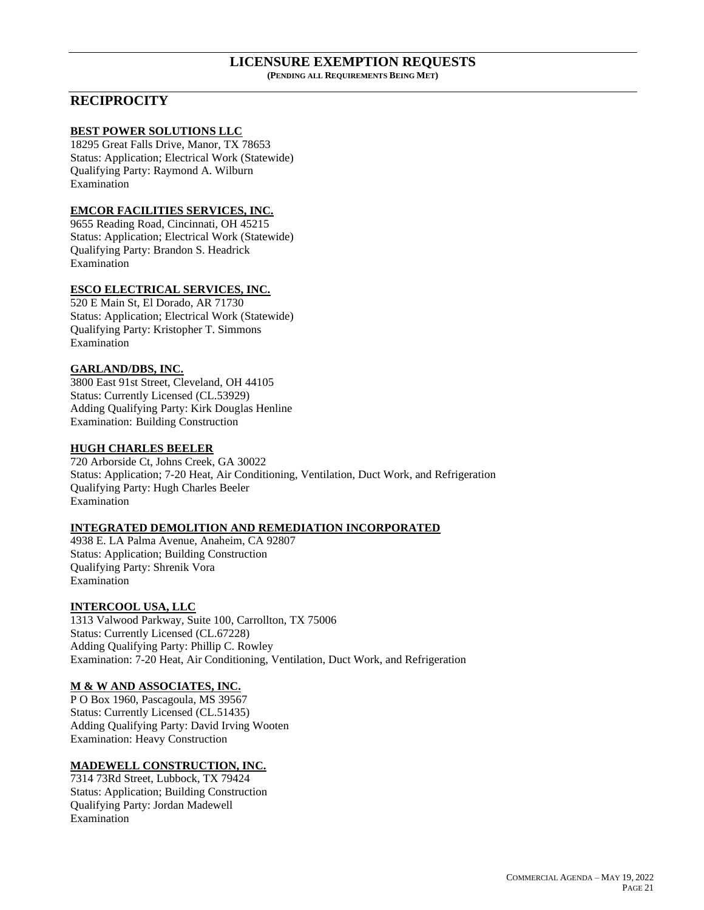#### **LICENSURE EXEMPTION REQUESTS (PENDING ALL REQUIREMENTS BEING MET)**

# **RECIPROCITY**

#### **BEST POWER SOLUTIONS LLC**

18295 Great Falls Drive, Manor, TX 78653 Status: Application; Electrical Work (Statewide) Qualifying Party: Raymond A. Wilburn Examination

# **EMCOR FACILITIES SERVICES, INC.**

9655 Reading Road, Cincinnati, OH 45215 Status: Application; Electrical Work (Statewide) Qualifying Party: Brandon S. Headrick Examination

# **ESCO ELECTRICAL SERVICES, INC.**

520 E Main St, El Dorado, AR 71730 Status: Application; Electrical Work (Statewide) Qualifying Party: Kristopher T. Simmons Examination

## **GARLAND/DBS, INC.**

3800 East 91st Street, Cleveland, OH 44105 Status: Currently Licensed (CL.53929) Adding Qualifying Party: Kirk Douglas Henline Examination: Building Construction

## **HUGH CHARLES BEELER**

720 Arborside Ct, Johns Creek, GA 30022 Status: Application; 7-20 Heat, Air Conditioning, Ventilation, Duct Work, and Refrigeration Qualifying Party: Hugh Charles Beeler Examination

### **INTEGRATED DEMOLITION AND REMEDIATION INCORPORATED**

4938 E. LA Palma Avenue, Anaheim, CA 92807 Status: Application; Building Construction Qualifying Party: Shrenik Vora Examination

### **INTERCOOL USA, LLC**

1313 Valwood Parkway, Suite 100, Carrollton, TX 75006 Status: Currently Licensed (CL.67228) Adding Qualifying Party: Phillip C. Rowley Examination: 7-20 Heat, Air Conditioning, Ventilation, Duct Work, and Refrigeration

### **M & W AND ASSOCIATES, INC.**

P O Box 1960, Pascagoula, MS 39567 Status: Currently Licensed (CL.51435) Adding Qualifying Party: David Irving Wooten Examination: Heavy Construction

### **MADEWELL CONSTRUCTION, INC.**

7314 73Rd Street, Lubbock, TX 79424 Status: Application; Building Construction Qualifying Party: Jordan Madewell Examination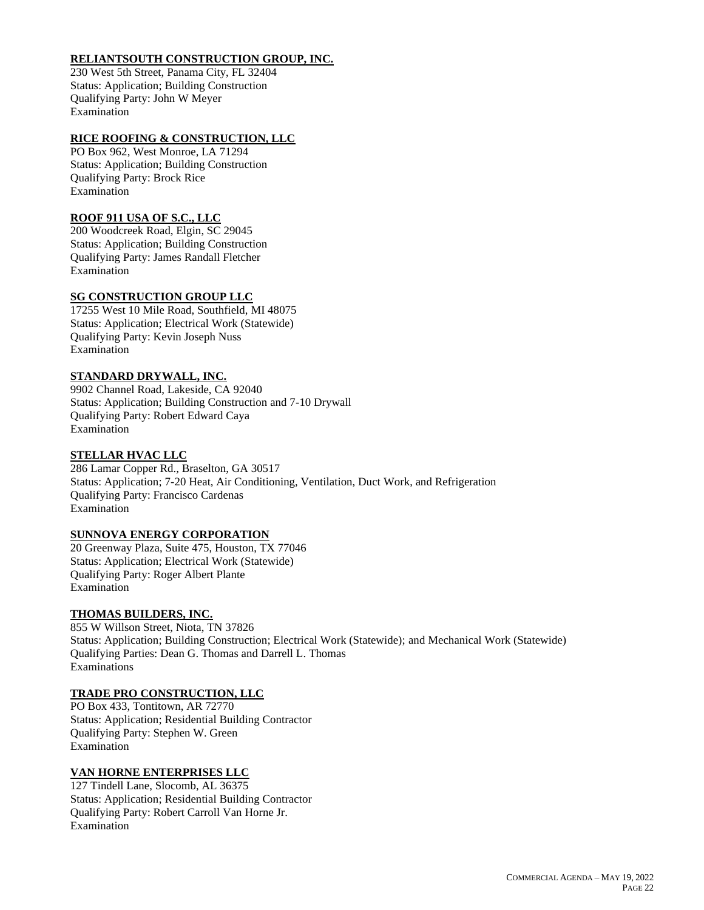## **RELIANTSOUTH CONSTRUCTION GROUP, INC.**

230 West 5th Street, Panama City, FL 32404 Status: Application; Building Construction Qualifying Party: John W Meyer Examination

# **RICE ROOFING & CONSTRUCTION, LLC**

PO Box 962, West Monroe, LA 71294 Status: Application; Building Construction Qualifying Party: Brock Rice Examination

## **ROOF 911 USA OF S.C., LLC**

200 Woodcreek Road, Elgin, SC 29045 Status: Application; Building Construction Qualifying Party: James Randall Fletcher Examination

# **SG CONSTRUCTION GROUP LLC**

17255 West 10 Mile Road, Southfield, MI 48075 Status: Application; Electrical Work (Statewide) Qualifying Party: Kevin Joseph Nuss Examination

## **STANDARD DRYWALL, INC.**

9902 Channel Road, Lakeside, CA 92040 Status: Application; Building Construction and 7-10 Drywall Qualifying Party: Robert Edward Caya Examination

## **STELLAR HVAC LLC**

286 Lamar Copper Rd., Braselton, GA 30517 Status: Application; 7-20 Heat, Air Conditioning, Ventilation, Duct Work, and Refrigeration Qualifying Party: Francisco Cardenas Examination

## **SUNNOVA ENERGY CORPORATION**

20 Greenway Plaza, Suite 475, Houston, TX 77046 Status: Application; Electrical Work (Statewide) Qualifying Party: Roger Albert Plante Examination

### **THOMAS BUILDERS, INC.**

855 W Willson Street, Niota, TN 37826 Status: Application; Building Construction; Electrical Work (Statewide); and Mechanical Work (Statewide) Qualifying Parties: Dean G. Thomas and Darrell L. Thomas Examinations

### **TRADE PRO CONSTRUCTION, LLC**

PO Box 433, Tontitown, AR 72770 Status: Application; Residential Building Contractor Qualifying Party: Stephen W. Green Examination

### **VAN HORNE ENTERPRISES LLC**

127 Tindell Lane, Slocomb, AL 36375 Status: Application; Residential Building Contractor Qualifying Party: Robert Carroll Van Horne Jr. Examination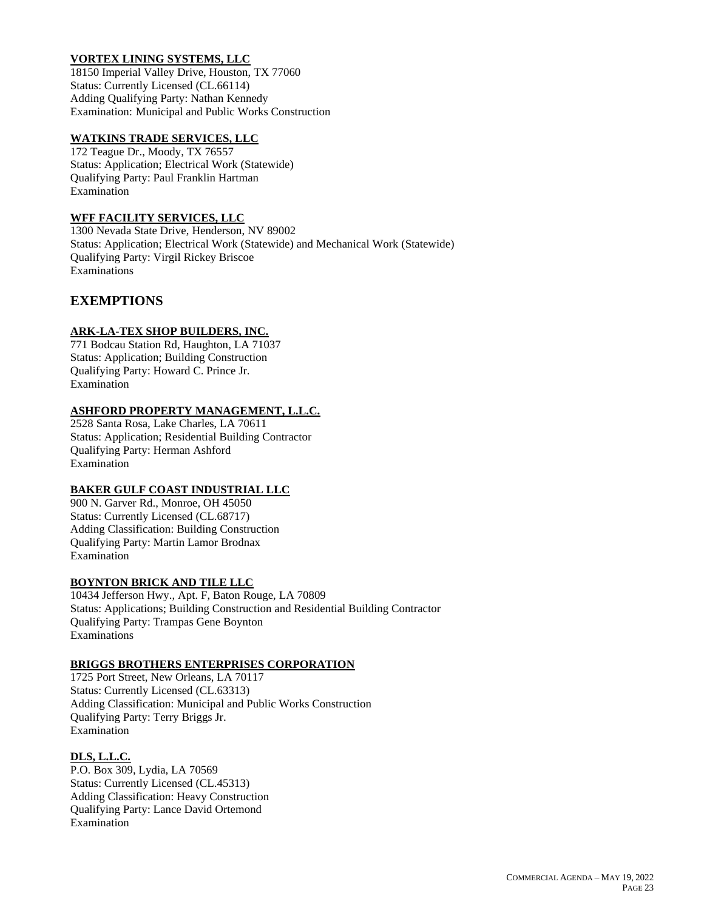# **VORTEX LINING SYSTEMS, LLC**

18150 Imperial Valley Drive, Houston, TX 77060 Status: Currently Licensed (CL.66114) Adding Qualifying Party: Nathan Kennedy Examination: Municipal and Public Works Construction

### **WATKINS TRADE SERVICES, LLC**

172 Teague Dr., Moody, TX 76557 Status: Application; Electrical Work (Statewide) Qualifying Party: Paul Franklin Hartman Examination

### **WFF FACILITY SERVICES, LLC**

1300 Nevada State Drive, Henderson, NV 89002 Status: Application; Electrical Work (Statewide) and Mechanical Work (Statewide) Qualifying Party: Virgil Rickey Briscoe Examinations

# **EXEMPTIONS**

# **ARK-LA-TEX SHOP BUILDERS, INC.**

771 Bodcau Station Rd, Haughton, LA 71037 Status: Application; Building Construction Qualifying Party: Howard C. Prince Jr. Examination

# **ASHFORD PROPERTY MANAGEMENT, L.L.C.**

2528 Santa Rosa, Lake Charles, LA 70611 Status: Application; Residential Building Contractor Qualifying Party: Herman Ashford Examination

## **BAKER GULF COAST INDUSTRIAL LLC**

900 N. Garver Rd., Monroe, OH 45050 Status: Currently Licensed (CL.68717) Adding Classification: Building Construction Qualifying Party: Martin Lamor Brodnax Examination

## **BOYNTON BRICK AND TILE LLC**

10434 Jefferson Hwy., Apt. F, Baton Rouge, LA 70809 Status: Applications; Building Construction and Residential Building Contractor Qualifying Party: Trampas Gene Boynton Examinations

## **BRIGGS BROTHERS ENTERPRISES CORPORATION**

1725 Port Street, New Orleans, LA 70117 Status: Currently Licensed (CL.63313) Adding Classification: Municipal and Public Works Construction Qualifying Party: Terry Briggs Jr. Examination

## **DLS, L.L.C.**

P.O. Box 309, Lydia, LA 70569 Status: Currently Licensed (CL.45313) Adding Classification: Heavy Construction Qualifying Party: Lance David Ortemond Examination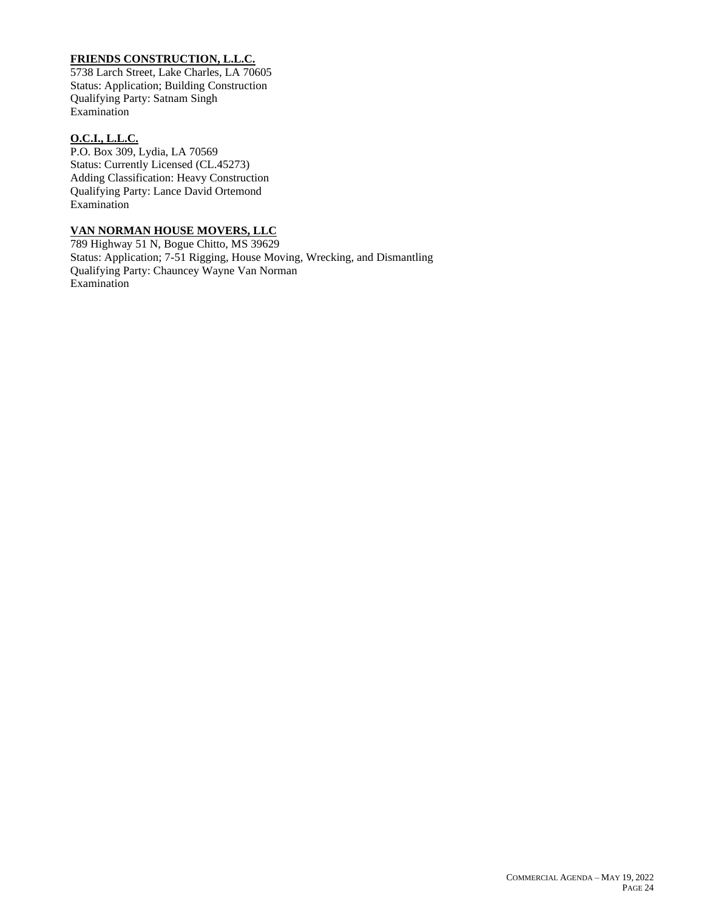# **FRIENDS CONSTRUCTION, L.L.C.**

5738 Larch Street, Lake Charles, LA 70605 Status: Application; Building Construction Qualifying Party: Satnam Singh Examination

### **O.C.I., L.L.C.**

P.O. Box 309, Lydia, LA 70569 Status: Currently Licensed (CL.45273) Adding Classification: Heavy Construction Qualifying Party: Lance David Ortemond Examination

# **VAN NORMAN HOUSE MOVERS, LLC**

789 Highway 51 N, Bogue Chitto, MS 39629 Status: Application; 7-51 Rigging, House Moving, Wrecking, and Dismantling Qualifying Party: Chauncey Wayne Van Norman Examination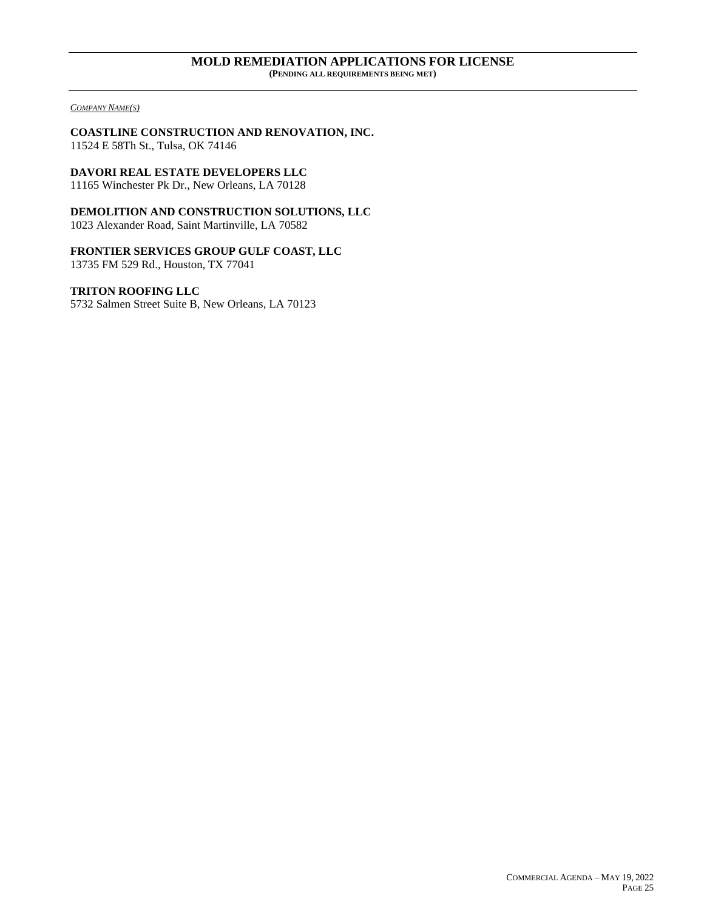#### **MOLD REMEDIATION APPLICATIONS FOR LICENSE (PENDING ALL REQUIREMENTS BEING MET)**

#### *COMPANY NAME(S)*

**COASTLINE CONSTRUCTION AND RENOVATION, INC.** 11524 E 58Th St., Tulsa, OK 74146

**DAVORI REAL ESTATE DEVELOPERS LLC**

11165 Winchester Pk Dr., New Orleans, LA 70128

**DEMOLITION AND CONSTRUCTION SOLUTIONS, LLC** 1023 Alexander Road, Saint Martinville, LA 70582

**FRONTIER SERVICES GROUP GULF COAST, LLC**

13735 FM 529 Rd., Houston, TX 77041

**TRITON ROOFING LLC**

5732 Salmen Street Suite B, New Orleans, LA 70123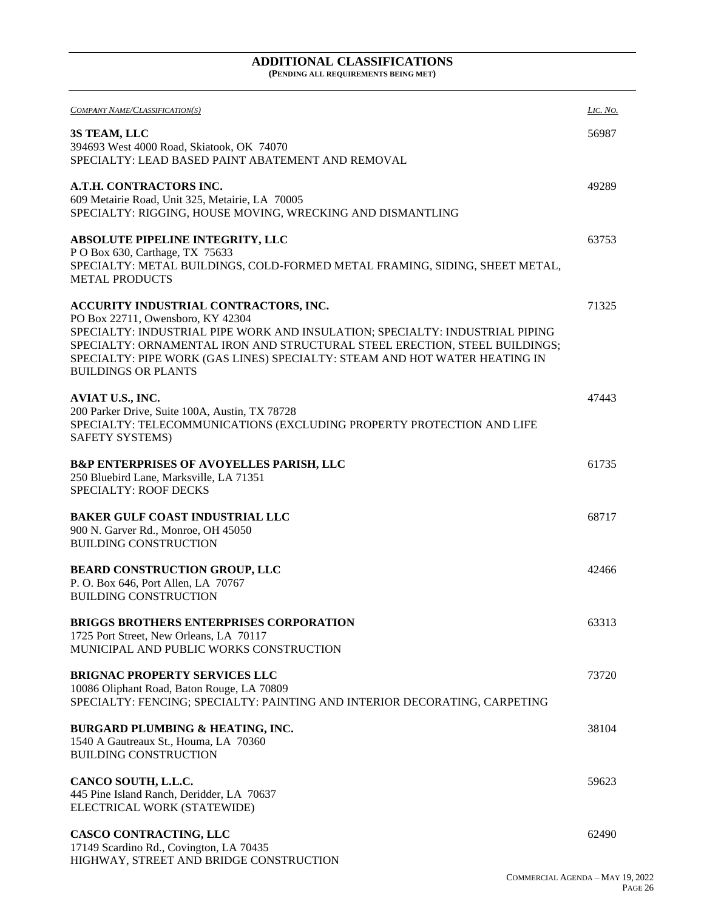#### **ADDITIONAL CLASSIFICATIONS (PENDING ALL REQUIREMENTS BEING MET)**

| COMPANY NAME/CLASSIFICATION(S)                                                                                                                                                         | LIC. NO. |
|----------------------------------------------------------------------------------------------------------------------------------------------------------------------------------------|----------|
| 3S TEAM, LLC                                                                                                                                                                           | 56987    |
| 394693 West 4000 Road, Skiatook, OK 74070<br>SPECIALTY: LEAD BASED PAINT ABATEMENT AND REMOVAL                                                                                         |          |
| A.T.H. CONTRACTORS INC.                                                                                                                                                                | 49289    |
| 609 Metairie Road, Unit 325, Metairie, LA 70005<br>SPECIALTY: RIGGING, HOUSE MOVING, WRECKING AND DISMANTLING                                                                          |          |
| <b>ABSOLUTE PIPELINE INTEGRITY, LLC</b>                                                                                                                                                | 63753    |
| P O Box 630, Carthage, TX 75633<br>SPECIALTY: METAL BUILDINGS, COLD-FORMED METAL FRAMING, SIDING, SHEET METAL,<br><b>METAL PRODUCTS</b>                                                |          |
| ACCURITY INDUSTRIAL CONTRACTORS, INC.                                                                                                                                                  | 71325    |
| PO Box 22711, Owensboro, KY 42304<br>SPECIALTY: INDUSTRIAL PIPE WORK AND INSULATION; SPECIALTY: INDUSTRIAL PIPING                                                                      |          |
| SPECIALTY: ORNAMENTAL IRON AND STRUCTURAL STEEL ERECTION, STEEL BUILDINGS;<br>SPECIALTY: PIPE WORK (GAS LINES) SPECIALTY: STEAM AND HOT WATER HEATING IN<br><b>BUILDINGS OR PLANTS</b> |          |
| AVIAT U.S., INC.                                                                                                                                                                       | 47443    |
| 200 Parker Drive, Suite 100A, Austin, TX 78728<br>SPECIALTY: TELECOMMUNICATIONS (EXCLUDING PROPERTY PROTECTION AND LIFE                                                                |          |
| SAFETY SYSTEMS)                                                                                                                                                                        |          |
| <b>B&amp;P ENTERPRISES OF AVOYELLES PARISH, LLC</b>                                                                                                                                    | 61735    |
| 250 Bluebird Lane, Marksville, LA 71351<br><b>SPECIALTY: ROOF DECKS</b>                                                                                                                |          |
| <b>BAKER GULF COAST INDUSTRIAL LLC</b>                                                                                                                                                 | 68717    |
| 900 N. Garver Rd., Monroe, OH 45050<br><b>BUILDING CONSTRUCTION</b>                                                                                                                    |          |
| <b>BEARD CONSTRUCTION GROUP, LLC</b>                                                                                                                                                   | 42466    |
| P. O. Box 646, Port Allen, LA 70767                                                                                                                                                    |          |
| <b>BUILDING CONSTRUCTION</b>                                                                                                                                                           |          |
| <b>BRIGGS BROTHERS ENTERPRISES CORPORATION</b><br>1725 Port Street, New Orleans, LA 70117                                                                                              | 63313    |
| MUNICIPAL AND PUBLIC WORKS CONSTRUCTION                                                                                                                                                |          |
| <b>BRIGNAC PROPERTY SERVICES LLC</b>                                                                                                                                                   | 73720    |
| 10086 Oliphant Road, Baton Rouge, LA 70809<br>SPECIALTY: FENCING; SPECIALTY: PAINTING AND INTERIOR DECORATING, CARPETING                                                               |          |
| <b>BURGARD PLUMBING &amp; HEATING, INC.</b>                                                                                                                                            | 38104    |
| 1540 A Gautreaux St., Houma, LA 70360<br><b>BUILDING CONSTRUCTION</b>                                                                                                                  |          |
| CANCO SOUTH, L.L.C.                                                                                                                                                                    | 59623    |
| 445 Pine Island Ranch, Deridder, LA 70637<br>ELECTRICAL WORK (STATEWIDE)                                                                                                               |          |
| CASCO CONTRACTING, LLC                                                                                                                                                                 | 62490    |
| 17149 Scardino Rd., Covington, LA 70435<br>HIGHWAY, STREET AND BRIDGE CONSTRUCTION                                                                                                     |          |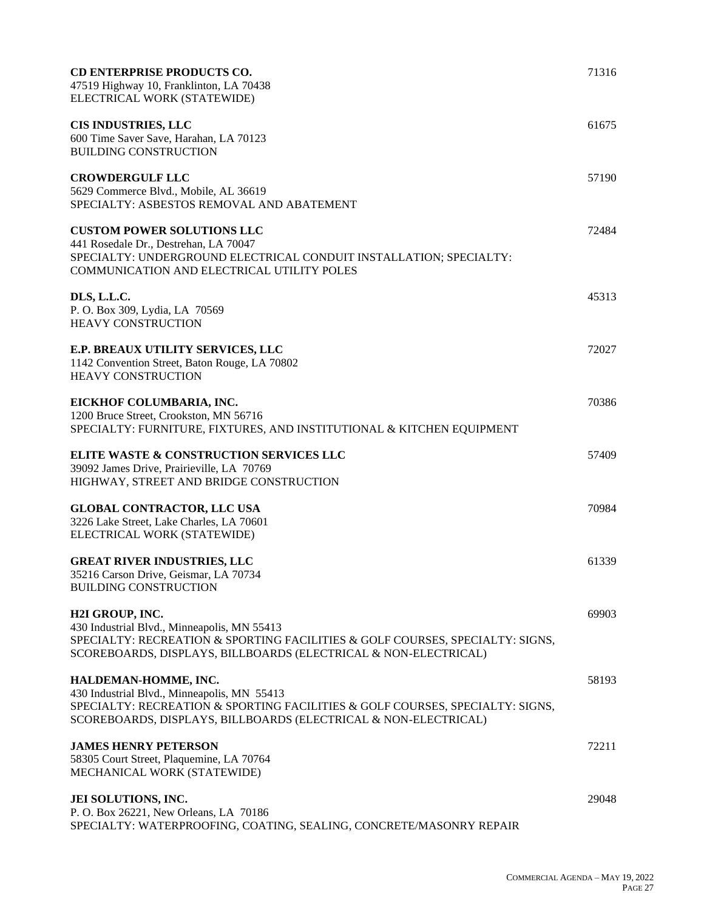| <b>CD ENTERPRISE PRODUCTS CO.</b><br>71316<br>47519 Highway 10, Franklinton, LA 70438<br>ELECTRICAL WORK (STATEWIDE)                                                                                                             |  |
|----------------------------------------------------------------------------------------------------------------------------------------------------------------------------------------------------------------------------------|--|
| <b>CIS INDUSTRIES, LLC</b><br>61675<br>600 Time Saver Save, Harahan, LA 70123<br><b>BUILDING CONSTRUCTION</b>                                                                                                                    |  |
| <b>CROWDERGULF LLC</b><br>57190<br>5629 Commerce Blvd., Mobile, AL 36619<br>SPECIALTY: ASBESTOS REMOVAL AND ABATEMENT                                                                                                            |  |
| <b>CUSTOM POWER SOLUTIONS LLC</b><br>72484<br>441 Rosedale Dr., Destrehan, LA 70047<br>SPECIALTY: UNDERGROUND ELECTRICAL CONDUIT INSTALLATION; SPECIALTY:<br>COMMUNICATION AND ELECTRICAL UTILITY POLES                          |  |
| DLS, L.L.C.<br>45313<br>P. O. Box 309, Lydia, LA 70569<br><b>HEAVY CONSTRUCTION</b>                                                                                                                                              |  |
| E.P. BREAUX UTILITY SERVICES, LLC<br>72027<br>1142 Convention Street, Baton Rouge, LA 70802<br><b>HEAVY CONSTRUCTION</b>                                                                                                         |  |
| EICKHOF COLUMBARIA, INC.<br>70386<br>1200 Bruce Street, Crookston, MN 56716<br>SPECIALTY: FURNITURE, FIXTURES, AND INSTITUTIONAL & KITCHEN EQUIPMENT                                                                             |  |
| ELITE WASTE & CONSTRUCTION SERVICES LLC<br>57409<br>39092 James Drive, Prairieville, LA 70769<br>HIGHWAY, STREET AND BRIDGE CONSTRUCTION                                                                                         |  |
| <b>GLOBAL CONTRACTOR, LLC USA</b><br>70984<br>3226 Lake Street, Lake Charles, LA 70601<br>ELECTRICAL WORK (STATEWIDE)                                                                                                            |  |
| <b>GREAT RIVER INDUSTRIES, LLC</b><br>61339<br>35216 Carson Drive, Geismar, LA 70734<br><b>BUILDING CONSTRUCTION</b>                                                                                                             |  |
| H2I GROUP, INC.<br>69903<br>430 Industrial Blvd., Minneapolis, MN 55413<br>SPECIALTY: RECREATION & SPORTING FACILITIES & GOLF COURSES, SPECIALTY: SIGNS,<br>SCOREBOARDS, DISPLAYS, BILLBOARDS (ELECTRICAL & NON-ELECTRICAL)      |  |
| HALDEMAN-HOMME, INC.<br>58193<br>430 Industrial Blvd., Minneapolis, MN 55413<br>SPECIALTY: RECREATION & SPORTING FACILITIES & GOLF COURSES, SPECIALTY: SIGNS,<br>SCOREBOARDS, DISPLAYS, BILLBOARDS (ELECTRICAL & NON-ELECTRICAL) |  |
| <b>JAMES HENRY PETERSON</b><br>72211<br>58305 Court Street, Plaquemine, LA 70764<br>MECHANICAL WORK (STATEWIDE)                                                                                                                  |  |
| JEI SOLUTIONS, INC.<br>29048<br>P. O. Box 26221, New Orleans, LA 70186<br>SPECIALTY: WATERPROOFING, COATING, SEALING, CONCRETE/MASONRY REPAIR                                                                                    |  |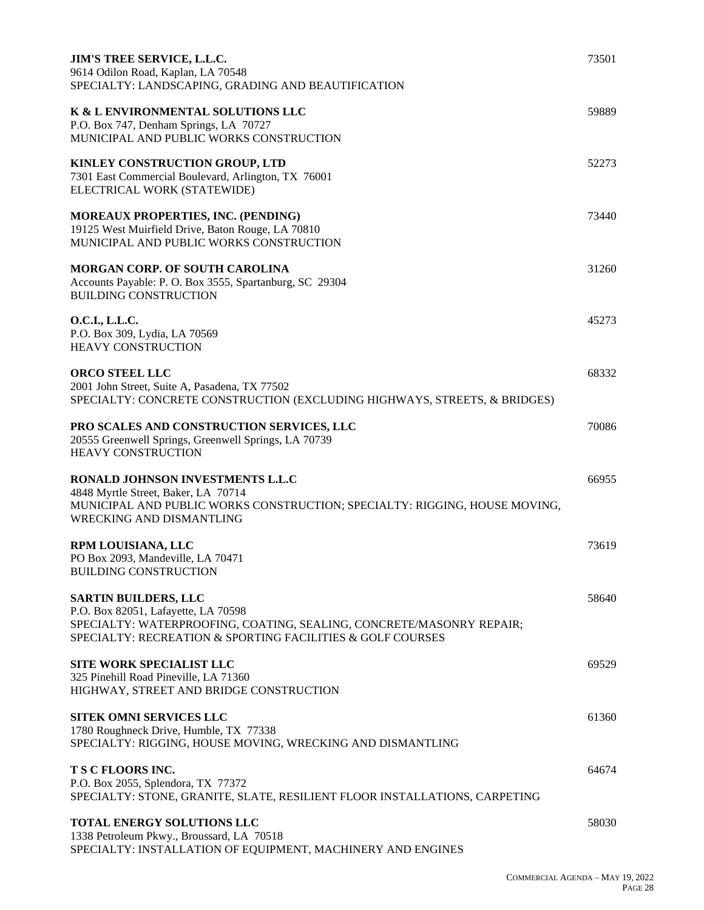| <b>JIM'S TREE SERVICE, L.L.C.</b><br>9614 Odilon Road, Kaplan, LA 70548<br>SPECIALTY: LANDSCAPING, GRADING AND BEAUTIFICATION                                                                            | 73501 |
|----------------------------------------------------------------------------------------------------------------------------------------------------------------------------------------------------------|-------|
| K & L ENVIRONMENTAL SOLUTIONS LLC<br>P.O. Box 747, Denham Springs, LA 70727<br>MUNICIPAL AND PUBLIC WORKS CONSTRUCTION                                                                                   | 59889 |
| KINLEY CONSTRUCTION GROUP, LTD<br>7301 East Commercial Boulevard, Arlington, TX 76001<br>ELECTRICAL WORK (STATEWIDE)                                                                                     | 52273 |
| MOREAUX PROPERTIES, INC. (PENDING)<br>19125 West Muirfield Drive, Baton Rouge, LA 70810<br>MUNICIPAL AND PUBLIC WORKS CONSTRUCTION                                                                       | 73440 |
| <b>MORGAN CORP. OF SOUTH CAROLINA</b><br>Accounts Payable: P. O. Box 3555, Spartanburg, SC 29304<br><b>BUILDING CONSTRUCTION</b>                                                                         | 31260 |
| O.C.I., L.L.C.<br>P.O. Box 309, Lydia, LA 70569<br><b>HEAVY CONSTRUCTION</b>                                                                                                                             | 45273 |
| <b>ORCO STEEL LLC</b><br>2001 John Street, Suite A, Pasadena, TX 77502<br>SPECIALTY: CONCRETE CONSTRUCTION (EXCLUDING HIGHWAYS, STREETS, & BRIDGES)                                                      | 68332 |
| PRO SCALES AND CONSTRUCTION SERVICES, LLC<br>20555 Greenwell Springs, Greenwell Springs, LA 70739<br><b>HEAVY CONSTRUCTION</b>                                                                           | 70086 |
| RONALD JOHNSON INVESTMENTS L.L.C<br>4848 Myrtle Street, Baker, LA 70714<br>MUNICIPAL AND PUBLIC WORKS CONSTRUCTION; SPECIALTY: RIGGING, HOUSE MOVING,<br><b>WRECKING AND DISMANTLING</b>                 | 66955 |
| RPM LOUISIANA, LLC<br>PO Box 2093, Mandeville, LA 70471<br><b>BUILDING CONSTRUCTION</b>                                                                                                                  | 73619 |
| <b>SARTIN BUILDERS, LLC</b><br>P.O. Box 82051, Lafayette, LA 70598<br>SPECIALTY: WATERPROOFING, COATING, SEALING, CONCRETE/MASONRY REPAIR;<br>SPECIALTY: RECREATION & SPORTING FACILITIES & GOLF COURSES | 58640 |
| <b>SITE WORK SPECIALIST LLC</b><br>325 Pinehill Road Pineville, LA 71360<br>HIGHWAY, STREET AND BRIDGE CONSTRUCTION                                                                                      | 69529 |
| SITEK OMNI SERVICES LLC<br>1780 Roughneck Drive, Humble, TX 77338<br>SPECIALTY: RIGGING, HOUSE MOVING, WRECKING AND DISMANTLING                                                                          | 61360 |
| T S C FLOORS INC.<br>P.O. Box 2055, Splendora, TX 77372<br>SPECIALTY: STONE, GRANITE, SLATE, RESILIENT FLOOR INSTALLATIONS, CARPETING                                                                    | 64674 |
| TOTAL ENERGY SOLUTIONS LLC<br>1338 Petroleum Pkwy., Broussard, LA 70518<br>SPECIALTY: INSTALLATION OF EQUIPMENT, MACHINERY AND ENGINES                                                                   | 58030 |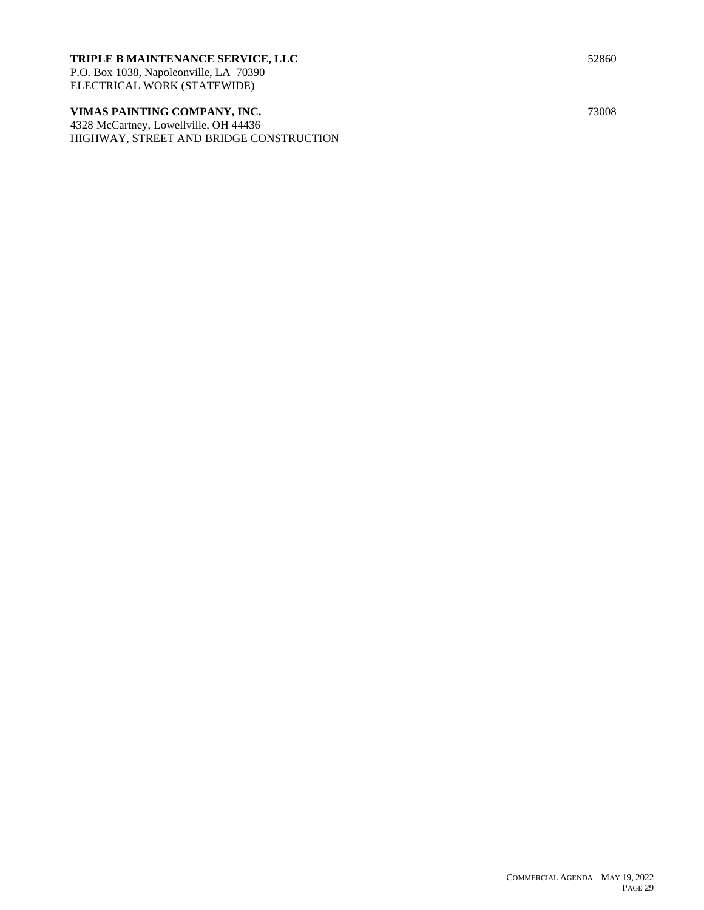# **TRIPLE B MAINTENANCE SERVICE, LLC** 52860

P.O. Box 1038, Napoleonville, LA 70390 ELECTRICAL WORK (STATEWIDE)

# **VIMAS PAINTING COMPANY, INC.** 73008

4328 McCartney, Lowellville, OH 44436 HIGHWAY, STREET AND BRIDGE CONSTRUCTION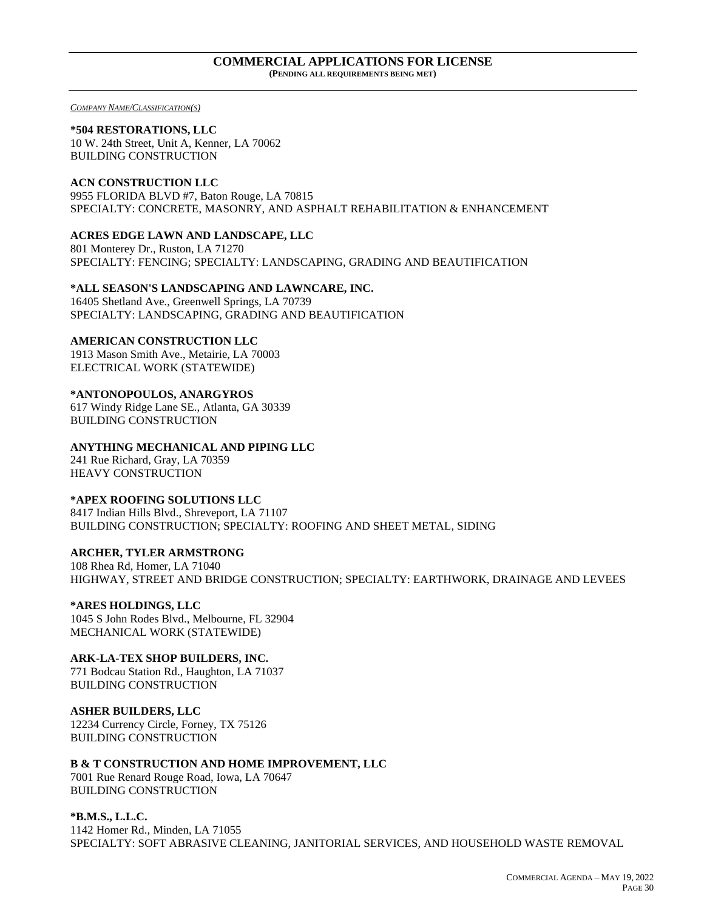#### **COMMERCIAL APPLICATIONS FOR LICENSE (PENDING ALL REQUIREMENTS BEING MET)**

*COMPANY NAME/CLASSIFICATION(S)*

#### **\*504 RESTORATIONS, LLC**

10 W. 24th Street, Unit A, Kenner, LA 70062 BUILDING CONSTRUCTION

## **ACN CONSTRUCTION LLC**

9955 FLORIDA BLVD #7, Baton Rouge, LA 70815 SPECIALTY: CONCRETE, MASONRY, AND ASPHALT REHABILITATION & ENHANCEMENT

## **ACRES EDGE LAWN AND LANDSCAPE, LLC**

801 Monterey Dr., Ruston, LA 71270 SPECIALTY: FENCING; SPECIALTY: LANDSCAPING, GRADING AND BEAUTIFICATION

#### **\*ALL SEASON'S LANDSCAPING AND LAWNCARE, INC.**

16405 Shetland Ave., Greenwell Springs, LA 70739 SPECIALTY: LANDSCAPING, GRADING AND BEAUTIFICATION

### **AMERICAN CONSTRUCTION LLC**

1913 Mason Smith Ave., Metairie, LA 70003 ELECTRICAL WORK (STATEWIDE)

### **\*ANTONOPOULOS, ANARGYROS**

617 Windy Ridge Lane SE., Atlanta, GA 30339 BUILDING CONSTRUCTION

### **ANYTHING MECHANICAL AND PIPING LLC**

241 Rue Richard, Gray, LA 70359 HEAVY CONSTRUCTION

### **\*APEX ROOFING SOLUTIONS LLC**

8417 Indian Hills Blvd., Shreveport, LA 71107 BUILDING CONSTRUCTION; SPECIALTY: ROOFING AND SHEET METAL, SIDING

### **ARCHER, TYLER ARMSTRONG**

108 Rhea Rd, Homer, LA 71040 HIGHWAY, STREET AND BRIDGE CONSTRUCTION; SPECIALTY: EARTHWORK, DRAINAGE AND LEVEES

## **\*ARES HOLDINGS, LLC**

1045 S John Rodes Blvd., Melbourne, FL 32904 MECHANICAL WORK (STATEWIDE)

### **ARK-LA-TEX SHOP BUILDERS, INC.**

771 Bodcau Station Rd., Haughton, LA 71037 BUILDING CONSTRUCTION

#### **ASHER BUILDERS, LLC**

12234 Currency Circle, Forney, TX 75126 BUILDING CONSTRUCTION

# **B & T CONSTRUCTION AND HOME IMPROVEMENT, LLC**

7001 Rue Renard Rouge Road, Iowa, LA 70647 BUILDING CONSTRUCTION

### **\*B.M.S., L.L.C.**

1142 Homer Rd., Minden, LA 71055 SPECIALTY: SOFT ABRASIVE CLEANING, JANITORIAL SERVICES, AND HOUSEHOLD WASTE REMOVAL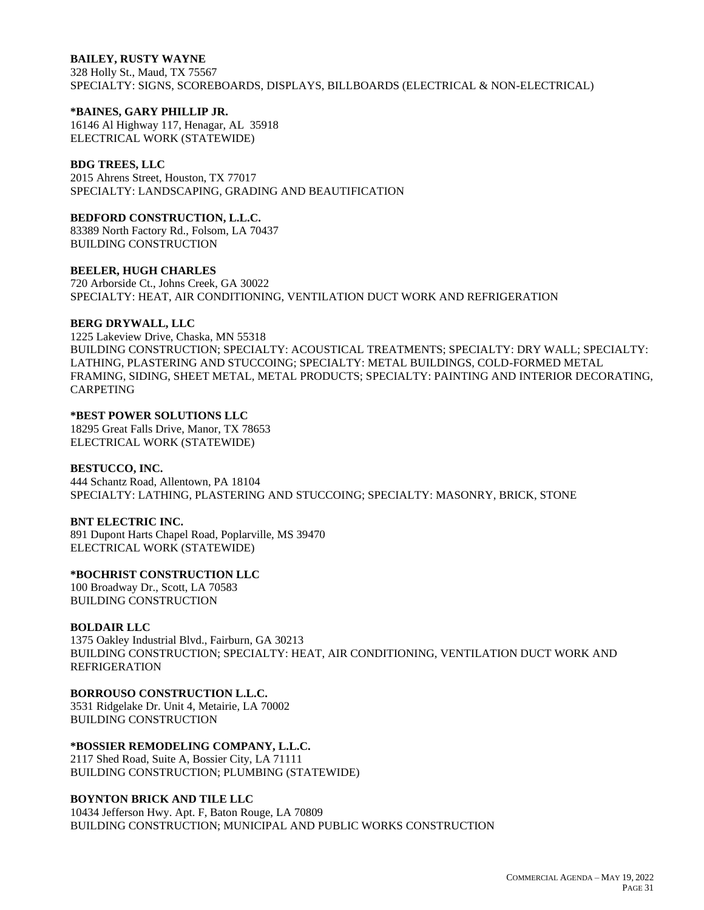## **BAILEY, RUSTY WAYNE**

328 Holly St., Maud, TX 75567 SPECIALTY: SIGNS, SCOREBOARDS, DISPLAYS, BILLBOARDS (ELECTRICAL & NON-ELECTRICAL)

#### **\*BAINES, GARY PHILLIP JR.**

16146 Al Highway 117, Henagar, AL 35918 ELECTRICAL WORK (STATEWIDE)

#### **BDG TREES, LLC**

2015 Ahrens Street, Houston, TX 77017 SPECIALTY: LANDSCAPING, GRADING AND BEAUTIFICATION

#### **BEDFORD CONSTRUCTION, L.L.C.**

83389 North Factory Rd., Folsom, LA 70437 BUILDING CONSTRUCTION

#### **BEELER, HUGH CHARLES**

720 Arborside Ct., Johns Creek, GA 30022 SPECIALTY: HEAT, AIR CONDITIONING, VENTILATION DUCT WORK AND REFRIGERATION

#### **BERG DRYWALL, LLC**

1225 Lakeview Drive, Chaska, MN 55318 BUILDING CONSTRUCTION; SPECIALTY: ACOUSTICAL TREATMENTS; SPECIALTY: DRY WALL; SPECIALTY: LATHING, PLASTERING AND STUCCOING; SPECIALTY: METAL BUILDINGS, COLD-FORMED METAL FRAMING, SIDING, SHEET METAL, METAL PRODUCTS; SPECIALTY: PAINTING AND INTERIOR DECORATING, CARPETING

## **\*BEST POWER SOLUTIONS LLC**

18295 Great Falls Drive, Manor, TX 78653 ELECTRICAL WORK (STATEWIDE)

### **BESTUCCO, INC.**

444 Schantz Road, Allentown, PA 18104 SPECIALTY: LATHING, PLASTERING AND STUCCOING; SPECIALTY: MASONRY, BRICK, STONE

### **BNT ELECTRIC INC.**

891 Dupont Harts Chapel Road, Poplarville, MS 39470 ELECTRICAL WORK (STATEWIDE)

### **\*BOCHRIST CONSTRUCTION LLC**

100 Broadway Dr., Scott, LA 70583 BUILDING CONSTRUCTION

### **BOLDAIR LLC**

1375 Oakley Industrial Blvd., Fairburn, GA 30213 BUILDING CONSTRUCTION; SPECIALTY: HEAT, AIR CONDITIONING, VENTILATION DUCT WORK AND REFRIGERATION

## **BORROUSO CONSTRUCTION L.L.C.**

3531 Ridgelake Dr. Unit 4, Metairie, LA 70002 BUILDING CONSTRUCTION

### **\*BOSSIER REMODELING COMPANY, L.L.C.**

2117 Shed Road, Suite A, Bossier City, LA 71111 BUILDING CONSTRUCTION; PLUMBING (STATEWIDE)

### **BOYNTON BRICK AND TILE LLC**

10434 Jefferson Hwy. Apt. F, Baton Rouge, LA 70809 BUILDING CONSTRUCTION; MUNICIPAL AND PUBLIC WORKS CONSTRUCTION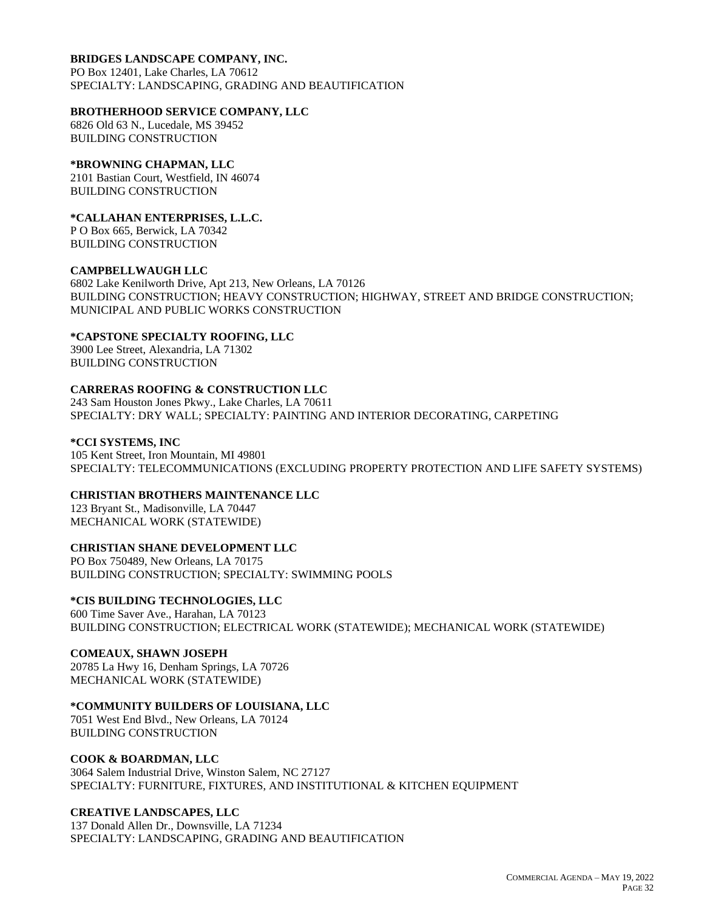## **BRIDGES LANDSCAPE COMPANY, INC.**

PO Box 12401, Lake Charles, LA 70612 SPECIALTY: LANDSCAPING, GRADING AND BEAUTIFICATION

### **BROTHERHOOD SERVICE COMPANY, LLC**

6826 Old 63 N., Lucedale, MS 39452 BUILDING CONSTRUCTION

## **\*BROWNING CHAPMAN, LLC**

2101 Bastian Court, Westfield, IN 46074 BUILDING CONSTRUCTION

# **\*CALLAHAN ENTERPRISES, L.L.C.**

P O Box 665, Berwick, LA 70342 BUILDING CONSTRUCTION

#### **CAMPBELLWAUGH LLC**

6802 Lake Kenilworth Drive, Apt 213, New Orleans, LA 70126 BUILDING CONSTRUCTION; HEAVY CONSTRUCTION; HIGHWAY, STREET AND BRIDGE CONSTRUCTION; MUNICIPAL AND PUBLIC WORKS CONSTRUCTION

### **\*CAPSTONE SPECIALTY ROOFING, LLC**

3900 Lee Street, Alexandria, LA 71302 BUILDING CONSTRUCTION

## **CARRERAS ROOFING & CONSTRUCTION LLC**

243 Sam Houston Jones Pkwy., Lake Charles, LA 70611 SPECIALTY: DRY WALL; SPECIALTY: PAINTING AND INTERIOR DECORATING, CARPETING

### **\*CCI SYSTEMS, INC**

105 Kent Street, Iron Mountain, MI 49801 SPECIALTY: TELECOMMUNICATIONS (EXCLUDING PROPERTY PROTECTION AND LIFE SAFETY SYSTEMS)

# **CHRISTIAN BROTHERS MAINTENANCE LLC**

123 Bryant St., Madisonville, LA 70447 MECHANICAL WORK (STATEWIDE)

### **CHRISTIAN SHANE DEVELOPMENT LLC**

PO Box 750489, New Orleans, LA 70175 BUILDING CONSTRUCTION; SPECIALTY: SWIMMING POOLS

### **\*CIS BUILDING TECHNOLOGIES, LLC**

600 Time Saver Ave., Harahan, LA 70123 BUILDING CONSTRUCTION; ELECTRICAL WORK (STATEWIDE); MECHANICAL WORK (STATEWIDE)

### **COMEAUX, SHAWN JOSEPH**

20785 La Hwy 16, Denham Springs, LA 70726 MECHANICAL WORK (STATEWIDE)

### **\*COMMUNITY BUILDERS OF LOUISIANA, LLC**

7051 West End Blvd., New Orleans, LA 70124 BUILDING CONSTRUCTION

### **COOK & BOARDMAN, LLC**

3064 Salem Industrial Drive, Winston Salem, NC 27127 SPECIALTY: FURNITURE, FIXTURES, AND INSTITUTIONAL & KITCHEN EQUIPMENT

### **CREATIVE LANDSCAPES, LLC**

137 Donald Allen Dr., Downsville, LA 71234 SPECIALTY: LANDSCAPING, GRADING AND BEAUTIFICATION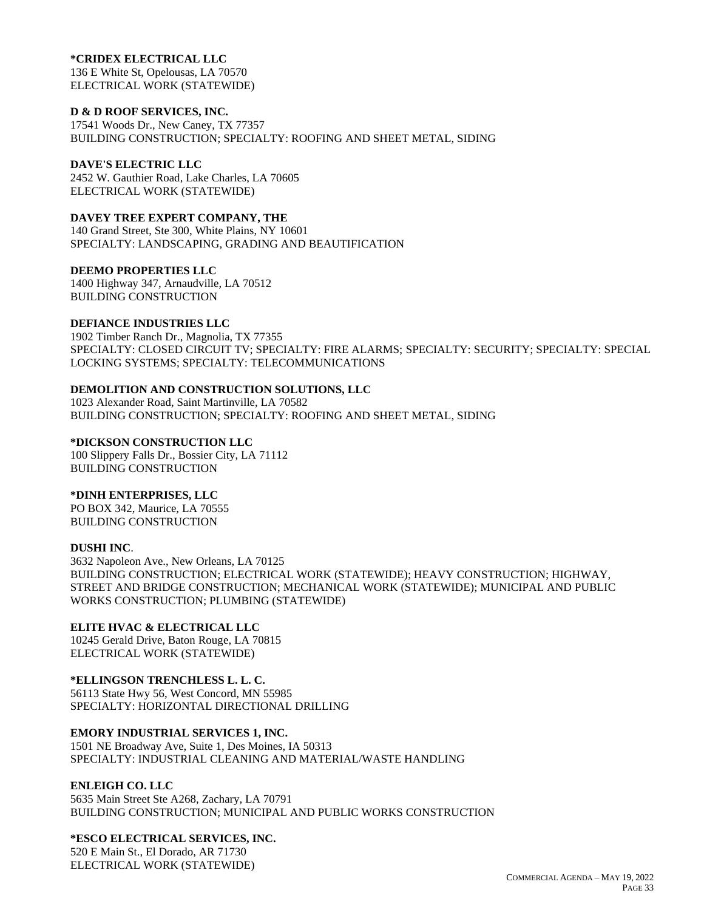#### **\*CRIDEX ELECTRICAL LLC**

136 E White St, Opelousas, LA 70570 ELECTRICAL WORK (STATEWIDE)

#### **D & D ROOF SERVICES, INC.**

17541 Woods Dr., New Caney, TX 77357 BUILDING CONSTRUCTION; SPECIALTY: ROOFING AND SHEET METAL, SIDING

## **DAVE'S ELECTRIC LLC**

2452 W. Gauthier Road, Lake Charles, LA 70605 ELECTRICAL WORK (STATEWIDE)

#### **DAVEY TREE EXPERT COMPANY, THE**

140 Grand Street, Ste 300, White Plains, NY 10601 SPECIALTY: LANDSCAPING, GRADING AND BEAUTIFICATION

#### **DEEMO PROPERTIES LLC**

1400 Highway 347, Arnaudville, LA 70512 BUILDING CONSTRUCTION

### **DEFIANCE INDUSTRIES LLC**

1902 Timber Ranch Dr., Magnolia, TX 77355 SPECIALTY: CLOSED CIRCUIT TV; SPECIALTY: FIRE ALARMS; SPECIALTY: SECURITY; SPECIALTY: SPECIAL LOCKING SYSTEMS; SPECIALTY: TELECOMMUNICATIONS

## **DEMOLITION AND CONSTRUCTION SOLUTIONS, LLC**

1023 Alexander Road, Saint Martinville, LA 70582 BUILDING CONSTRUCTION; SPECIALTY: ROOFING AND SHEET METAL, SIDING

#### **\*DICKSON CONSTRUCTION LLC**

100 Slippery Falls Dr., Bossier City, LA 71112 BUILDING CONSTRUCTION

### **\*DINH ENTERPRISES, LLC**

PO BOX 342, Maurice, LA 70555 BUILDING CONSTRUCTION

### **DUSHI INC**.

3632 Napoleon Ave., New Orleans, LA 70125 BUILDING CONSTRUCTION; ELECTRICAL WORK (STATEWIDE); HEAVY CONSTRUCTION; HIGHWAY, STREET AND BRIDGE CONSTRUCTION; MECHANICAL WORK (STATEWIDE); MUNICIPAL AND PUBLIC WORKS CONSTRUCTION; PLUMBING (STATEWIDE)

### **ELITE HVAC & ELECTRICAL LLC**

10245 Gerald Drive, Baton Rouge, LA 70815 ELECTRICAL WORK (STATEWIDE)

# **\*ELLINGSON TRENCHLESS L. L. C.**

56113 State Hwy 56, West Concord, MN 55985 SPECIALTY: HORIZONTAL DIRECTIONAL DRILLING

### **EMORY INDUSTRIAL SERVICES 1, INC.**

1501 NE Broadway Ave, Suite 1, Des Moines, IA 50313 SPECIALTY: INDUSTRIAL CLEANING AND MATERIAL/WASTE HANDLING

### **ENLEIGH CO. LLC**

5635 Main Street Ste A268, Zachary, LA 70791 BUILDING CONSTRUCTION; MUNICIPAL AND PUBLIC WORKS CONSTRUCTION

### **\*ESCO ELECTRICAL SERVICES, INC.**

520 E Main St., El Dorado, AR 71730 ELECTRICAL WORK (STATEWIDE)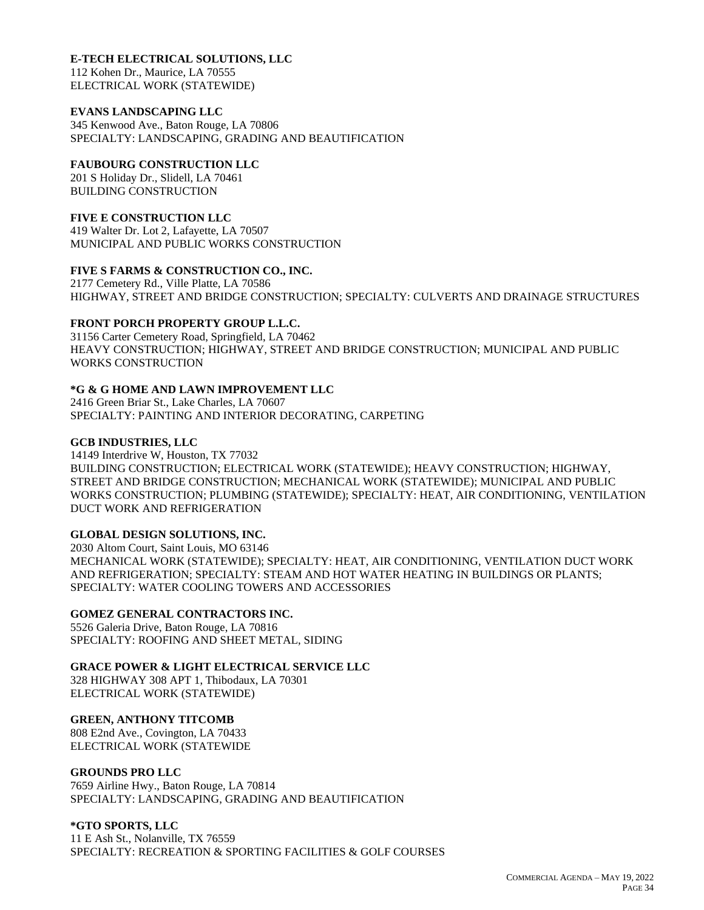# **E-TECH ELECTRICAL SOLUTIONS, LLC**

112 Kohen Dr., Maurice, LA 70555 ELECTRICAL WORK (STATEWIDE)

## **EVANS LANDSCAPING LLC**

345 Kenwood Ave., Baton Rouge, LA 70806 SPECIALTY: LANDSCAPING, GRADING AND BEAUTIFICATION

# **FAUBOURG CONSTRUCTION LLC**

201 S Holiday Dr., Slidell, LA 70461 BUILDING CONSTRUCTION

# **FIVE E CONSTRUCTION LLC**

419 Walter Dr. Lot 2, Lafayette, LA 70507 MUNICIPAL AND PUBLIC WORKS CONSTRUCTION

# **FIVE S FARMS & CONSTRUCTION CO., INC.**

2177 Cemetery Rd., Ville Platte, LA 70586 HIGHWAY, STREET AND BRIDGE CONSTRUCTION; SPECIALTY: CULVERTS AND DRAINAGE STRUCTURES

## **FRONT PORCH PROPERTY GROUP L.L.C.**

31156 Carter Cemetery Road, Springfield, LA 70462 HEAVY CONSTRUCTION; HIGHWAY, STREET AND BRIDGE CONSTRUCTION; MUNICIPAL AND PUBLIC WORKS CONSTRUCTION

# **\*G & G HOME AND LAWN IMPROVEMENT LLC**

2416 Green Briar St., Lake Charles, LA 70607 SPECIALTY: PAINTING AND INTERIOR DECORATING, CARPETING

## **GCB INDUSTRIES, LLC**

14149 Interdrive W, Houston, TX 77032 BUILDING CONSTRUCTION; ELECTRICAL WORK (STATEWIDE); HEAVY CONSTRUCTION; HIGHWAY, STREET AND BRIDGE CONSTRUCTION; MECHANICAL WORK (STATEWIDE); MUNICIPAL AND PUBLIC WORKS CONSTRUCTION; PLUMBING (STATEWIDE); SPECIALTY: HEAT, AIR CONDITIONING, VENTILATION DUCT WORK AND REFRIGERATION

# **GLOBAL DESIGN SOLUTIONS, INC.**

2030 Altom Court, Saint Louis, MO 63146 MECHANICAL WORK (STATEWIDE); SPECIALTY: HEAT, AIR CONDITIONING, VENTILATION DUCT WORK AND REFRIGERATION; SPECIALTY: STEAM AND HOT WATER HEATING IN BUILDINGS OR PLANTS; SPECIALTY: WATER COOLING TOWERS AND ACCESSORIES

# **GOMEZ GENERAL CONTRACTORS INC.**

5526 Galeria Drive, Baton Rouge, LA 70816 SPECIALTY: ROOFING AND SHEET METAL, SIDING

# **GRACE POWER & LIGHT ELECTRICAL SERVICE LLC**

328 HIGHWAY 308 APT 1, Thibodaux, LA 70301 ELECTRICAL WORK (STATEWIDE)

## **GREEN, ANTHONY TITCOMB**

808 E2nd Ave., Covington, LA 70433 ELECTRICAL WORK (STATEWIDE

### **GROUNDS PRO LLC**

7659 Airline Hwy., Baton Rouge, LA 70814 SPECIALTY: LANDSCAPING, GRADING AND BEAUTIFICATION

### **\*GTO SPORTS, LLC**

11 E Ash St., Nolanville, TX 76559 SPECIALTY: RECREATION & SPORTING FACILITIES & GOLF COURSES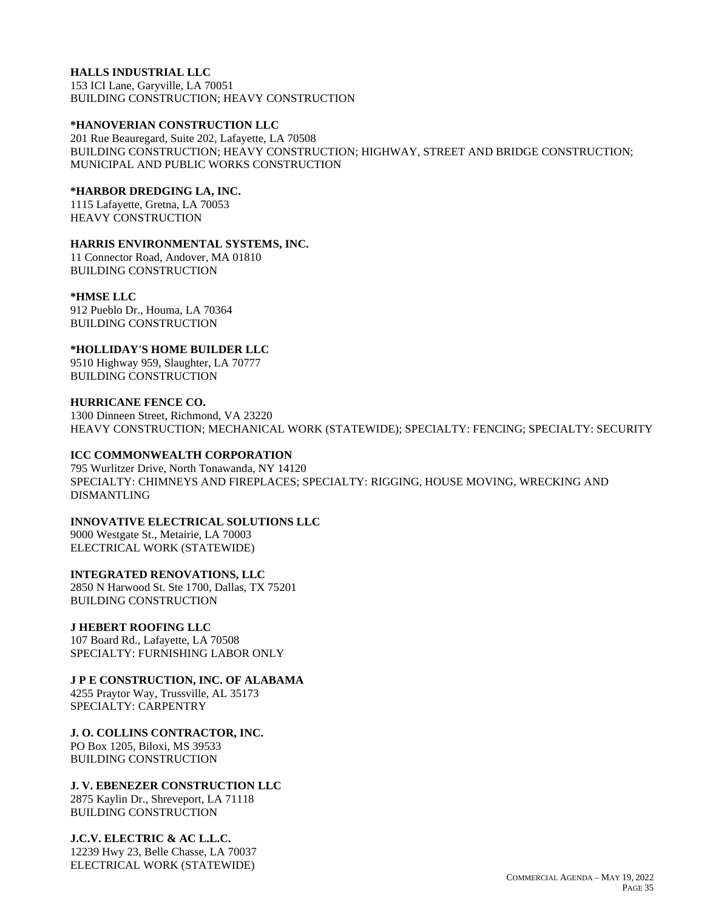# **HALLS INDUSTRIAL LLC**

153 ICI Lane, Garyville, LA 70051 BUILDING CONSTRUCTION; HEAVY CONSTRUCTION

#### **\*HANOVERIAN CONSTRUCTION LLC**

201 Rue Beauregard, Suite 202, Lafayette, LA 70508 BUILDING CONSTRUCTION; HEAVY CONSTRUCTION; HIGHWAY, STREET AND BRIDGE CONSTRUCTION; MUNICIPAL AND PUBLIC WORKS CONSTRUCTION

#### **\*HARBOR DREDGING LA, INC.**

1115 Lafayette, Gretna, LA 70053 HEAVY CONSTRUCTION

#### **HARRIS ENVIRONMENTAL SYSTEMS, INC.**

11 Connector Road, Andover, MA 01810 BUILDING CONSTRUCTION

#### **\*HMSE LLC**

912 Pueblo Dr., Houma, LA 70364 BUILDING CONSTRUCTION

#### **\*HOLLIDAY'S HOME BUILDER LLC**

9510 Highway 959, Slaughter, LA 70777 BUILDING CONSTRUCTION

#### **HURRICANE FENCE CO.**

1300 Dinneen Street, Richmond, VA 23220 HEAVY CONSTRUCTION; MECHANICAL WORK (STATEWIDE); SPECIALTY: FENCING; SPECIALTY: SECURITY

### **ICC COMMONWEALTH CORPORATION**

795 Wurlitzer Drive, North Tonawanda, NY 14120 SPECIALTY: CHIMNEYS AND FIREPLACES; SPECIALTY: RIGGING, HOUSE MOVING, WRECKING AND DISMANTLING

# **INNOVATIVE ELECTRICAL SOLUTIONS LLC**

9000 Westgate St., Metairie, LA 70003 ELECTRICAL WORK (STATEWIDE)

### **INTEGRATED RENOVATIONS, LLC**

2850 N Harwood St. Ste 1700, Dallas, TX 75201 BUILDING CONSTRUCTION

### **J HEBERT ROOFING LLC**

107 Board Rd., Lafayette, LA 70508 SPECIALTY: FURNISHING LABOR ONLY

### **J P E CONSTRUCTION, INC. OF ALABAMA**

4255 Praytor Way, Trussville, AL 35173 SPECIALTY: CARPENTRY

# **J. O. COLLINS CONTRACTOR, INC.**

PO Box 1205, Biloxi, MS 39533 BUILDING CONSTRUCTION

### **J. V. EBENEZER CONSTRUCTION LLC**

2875 Kaylin Dr., Shreveport, LA 71118 BUILDING CONSTRUCTION

# **J.C.V. ELECTRIC & AC L.L.C.**

12239 Hwy 23, Belle Chasse, LA 70037 ELECTRICAL WORK (STATEWIDE)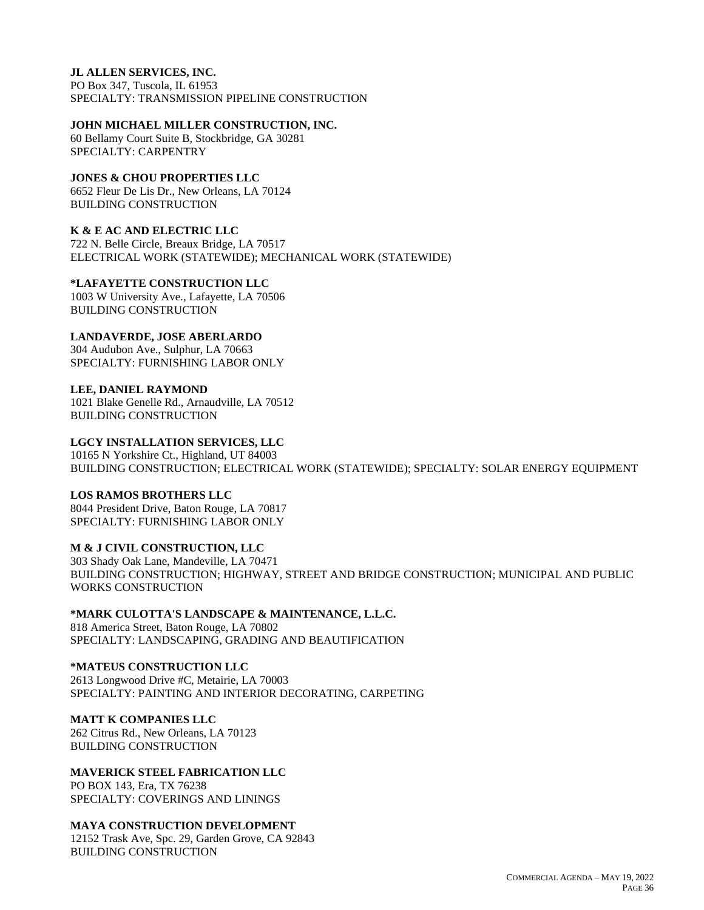## **JL ALLEN SERVICES, INC.**

PO Box 347, Tuscola, IL 61953 SPECIALTY: TRANSMISSION PIPELINE CONSTRUCTION

# **JOHN MICHAEL MILLER CONSTRUCTION, INC.**

60 Bellamy Court Suite B, Stockbridge, GA 30281 SPECIALTY: CARPENTRY

# **JONES & CHOU PROPERTIES LLC**

6652 Fleur De Lis Dr., New Orleans, LA 70124 BUILDING CONSTRUCTION

# **K & E AC AND ELECTRIC LLC**

722 N. Belle Circle, Breaux Bridge, LA 70517 ELECTRICAL WORK (STATEWIDE); MECHANICAL WORK (STATEWIDE)

# **\*LAFAYETTE CONSTRUCTION LLC**

1003 W University Ave., Lafayette, LA 70506 BUILDING CONSTRUCTION

# **LANDAVERDE, JOSE ABERLARDO**

304 Audubon Ave., Sulphur, LA 70663 SPECIALTY: FURNISHING LABOR ONLY

# **LEE, DANIEL RAYMOND**

1021 Blake Genelle Rd., Arnaudville, LA 70512 BUILDING CONSTRUCTION

# **LGCY INSTALLATION SERVICES, LLC**

10165 N Yorkshire Ct., Highland, UT 84003 BUILDING CONSTRUCTION; ELECTRICAL WORK (STATEWIDE); SPECIALTY: SOLAR ENERGY EQUIPMENT

# **LOS RAMOS BROTHERS LLC**

8044 President Drive, Baton Rouge, LA 70817 SPECIALTY: FURNISHING LABOR ONLY

# **M & J CIVIL CONSTRUCTION, LLC**

303 Shady Oak Lane, Mandeville, LA 70471 BUILDING CONSTRUCTION; HIGHWAY, STREET AND BRIDGE CONSTRUCTION; MUNICIPAL AND PUBLIC WORKS CONSTRUCTION

**\*MARK CULOTTA'S LANDSCAPE & MAINTENANCE, L.L.C.** 818 America Street, Baton Rouge, LA 70802 SPECIALTY: LANDSCAPING, GRADING AND BEAUTIFICATION

**\*MATEUS CONSTRUCTION LLC** 2613 Longwood Drive #C, Metairie, LA 70003 SPECIALTY: PAINTING AND INTERIOR DECORATING, CARPETING

# **MATT K COMPANIES LLC**

262 Citrus Rd., New Orleans, LA 70123 BUILDING CONSTRUCTION

# **MAVERICK STEEL FABRICATION LLC**

PO BOX 143, Era, TX 76238 SPECIALTY: COVERINGS AND LININGS

# **MAYA CONSTRUCTION DEVELOPMENT**

12152 Trask Ave, Spc. 29, Garden Grove, CA 92843 BUILDING CONSTRUCTION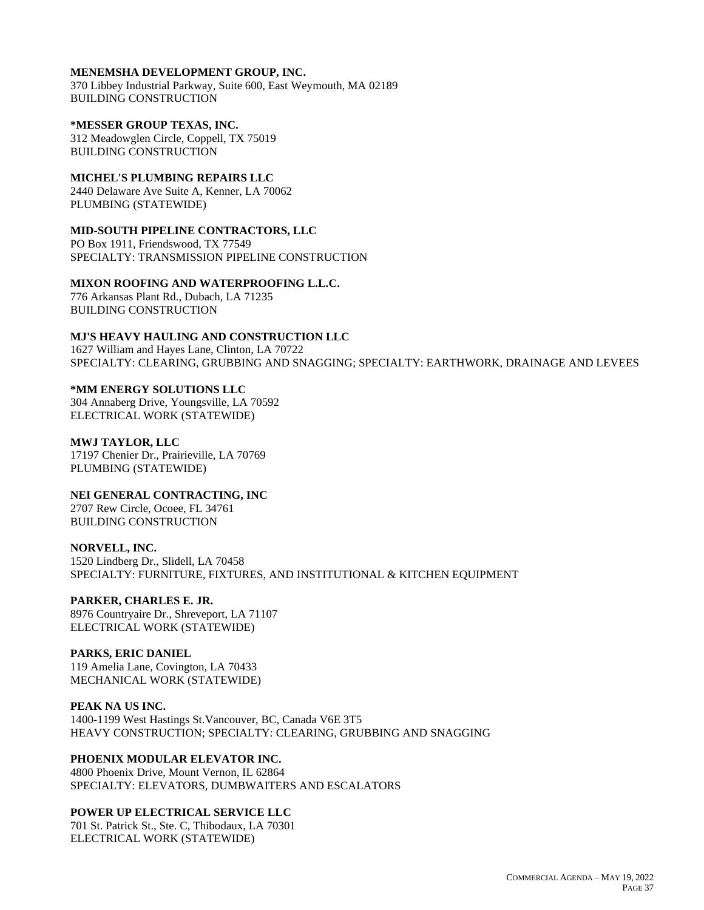## **MENEMSHA DEVELOPMENT GROUP, INC.**

370 Libbey Industrial Parkway, Suite 600, East Weymouth, MA 02189 BUILDING CONSTRUCTION

#### **\*MESSER GROUP TEXAS, INC.**

312 Meadowglen Circle, Coppell, TX 75019 BUILDING CONSTRUCTION

# **MICHEL'S PLUMBING REPAIRS LLC**

2440 Delaware Ave Suite A, Kenner, LA 70062 PLUMBING (STATEWIDE)

### **MID-SOUTH PIPELINE CONTRACTORS, LLC**

PO Box 1911, Friendswood, TX 77549 SPECIALTY: TRANSMISSION PIPELINE CONSTRUCTION

## **MIXON ROOFING AND WATERPROOFING L.L.C.**

776 Arkansas Plant Rd., Dubach, LA 71235 BUILDING CONSTRUCTION

## **MJ'S HEAVY HAULING AND CONSTRUCTION LLC**

1627 William and Hayes Lane, Clinton, LA 70722 SPECIALTY: CLEARING, GRUBBING AND SNAGGING; SPECIALTY: EARTHWORK, DRAINAGE AND LEVEES

#### **\*MM ENERGY SOLUTIONS LLC**

304 Annaberg Drive, Youngsville, LA 70592 ELECTRICAL WORK (STATEWIDE)

#### **MWJ TAYLOR, LLC**

17197 Chenier Dr., Prairieville, LA 70769 PLUMBING (STATEWIDE)

**NEI GENERAL CONTRACTING, INC**

2707 Rew Circle, Ocoee, FL 34761 BUILDING CONSTRUCTION

#### **NORVELL, INC.**

1520 Lindberg Dr., Slidell, LA 70458 SPECIALTY: FURNITURE, FIXTURES, AND INSTITUTIONAL & KITCHEN EQUIPMENT

### **PARKER, CHARLES E. JR.**

8976 Countryaire Dr., Shreveport, LA 71107 ELECTRICAL WORK (STATEWIDE)

### **PARKS, ERIC DANIEL**

119 Amelia Lane, Covington, LA 70433 MECHANICAL WORK (STATEWIDE)

#### **PEAK NA US INC.**

1400-1199 West Hastings St.Vancouver, BC, Canada V6E 3T5 HEAVY CONSTRUCTION; SPECIALTY: CLEARING, GRUBBING AND SNAGGING

## **PHOENIX MODULAR ELEVATOR INC.**

4800 Phoenix Drive, Mount Vernon, IL 62864 SPECIALTY: ELEVATORS, DUMBWAITERS AND ESCALATORS

### **POWER UP ELECTRICAL SERVICE LLC**

701 St. Patrick St., Ste. C, Thibodaux, LA 70301 ELECTRICAL WORK (STATEWIDE)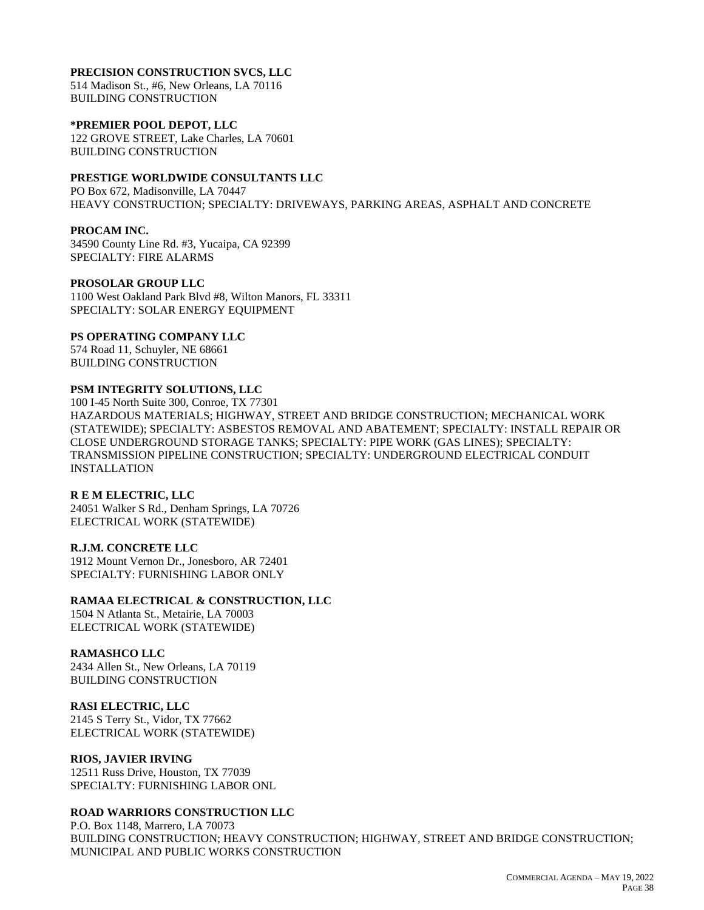#### **PRECISION CONSTRUCTION SVCS, LLC**

514 Madison St., #6, New Orleans, LA 70116 BUILDING CONSTRUCTION

#### **\*PREMIER POOL DEPOT, LLC**

122 GROVE STREET, Lake Charles, LA 70601 BUILDING CONSTRUCTION

## **PRESTIGE WORLDWIDE CONSULTANTS LLC**

PO Box 672, Madisonville, LA 70447 HEAVY CONSTRUCTION; SPECIALTY: DRIVEWAYS, PARKING AREAS, ASPHALT AND CONCRETE

#### **PROCAM INC.**

34590 County Line Rd. #3, Yucaipa, CA 92399 SPECIALTY: FIRE ALARMS

# **PROSOLAR GROUP LLC**

1100 West Oakland Park Blvd #8, Wilton Manors, FL 33311 SPECIALTY: SOLAR ENERGY EQUIPMENT

#### **PS OPERATING COMPANY LLC**

574 Road 11, Schuyler, NE 68661 BUILDING CONSTRUCTION

#### **PSM INTEGRITY SOLUTIONS, LLC**

100 I-45 North Suite 300, Conroe, TX 77301 HAZARDOUS MATERIALS; HIGHWAY, STREET AND BRIDGE CONSTRUCTION; MECHANICAL WORK (STATEWIDE); SPECIALTY: ASBESTOS REMOVAL AND ABATEMENT; SPECIALTY: INSTALL REPAIR OR CLOSE UNDERGROUND STORAGE TANKS; SPECIALTY: PIPE WORK (GAS LINES); SPECIALTY: TRANSMISSION PIPELINE CONSTRUCTION; SPECIALTY: UNDERGROUND ELECTRICAL CONDUIT INSTALLATION

#### **R E M ELECTRIC, LLC**

24051 Walker S Rd., Denham Springs, LA 70726 ELECTRICAL WORK (STATEWIDE)

#### **R.J.M. CONCRETE LLC**

1912 Mount Vernon Dr., Jonesboro, AR 72401 SPECIALTY: FURNISHING LABOR ONLY

#### **RAMAA ELECTRICAL & CONSTRUCTION, LLC**

1504 N Atlanta St., Metairie, LA 70003 ELECTRICAL WORK (STATEWIDE)

#### **RAMASHCO LLC**

2434 Allen St., New Orleans, LA 70119 BUILDING CONSTRUCTION

#### **RASI ELECTRIC, LLC**

2145 S Terry St., Vidor, TX 77662 ELECTRICAL WORK (STATEWIDE)

#### **RIOS, JAVIER IRVING**

12511 Russ Drive, Houston, TX 77039 SPECIALTY: FURNISHING LABOR ONL

#### **ROAD WARRIORS CONSTRUCTION LLC**

P.O. Box 1148, Marrero, LA 70073 BUILDING CONSTRUCTION; HEAVY CONSTRUCTION; HIGHWAY, STREET AND BRIDGE CONSTRUCTION; MUNICIPAL AND PUBLIC WORKS CONSTRUCTION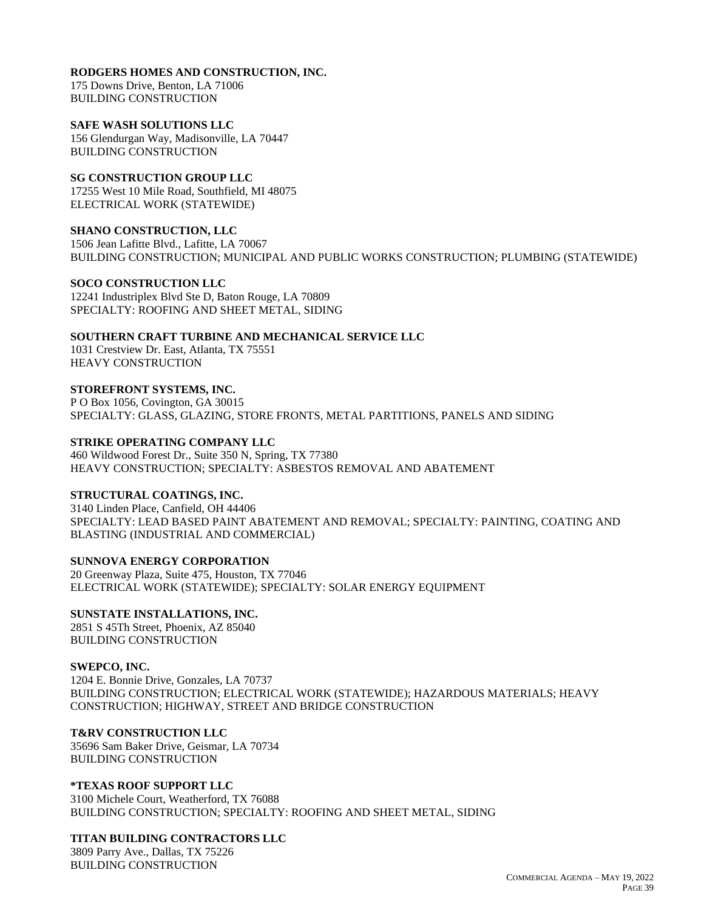## **RODGERS HOMES AND CONSTRUCTION, INC.**

175 Downs Drive, Benton, LA 71006 BUILDING CONSTRUCTION

## **SAFE WASH SOLUTIONS LLC**

156 Glendurgan Way, Madisonville, LA 70447 BUILDING CONSTRUCTION

## **SG CONSTRUCTION GROUP LLC**

17255 West 10 Mile Road, Southfield, MI 48075 ELECTRICAL WORK (STATEWIDE)

## **SHANO CONSTRUCTION, LLC**

1506 Jean Lafitte Blvd., Lafitte, LA 70067 BUILDING CONSTRUCTION; MUNICIPAL AND PUBLIC WORKS CONSTRUCTION; PLUMBING (STATEWIDE)

# **SOCO CONSTRUCTION LLC**

12241 Industriplex Blvd Ste D, Baton Rouge, LA 70809 SPECIALTY: ROOFING AND SHEET METAL, SIDING

# **SOUTHERN CRAFT TURBINE AND MECHANICAL SERVICE LLC**

1031 Crestview Dr. East, Atlanta, TX 75551 HEAVY CONSTRUCTION

## **STOREFRONT SYSTEMS, INC.**

P O Box 1056, Covington, GA 30015 SPECIALTY: GLASS, GLAZING, STORE FRONTS, METAL PARTITIONS, PANELS AND SIDING

## **STRIKE OPERATING COMPANY LLC**

460 Wildwood Forest Dr., Suite 350 N, Spring, TX 77380 HEAVY CONSTRUCTION; SPECIALTY: ASBESTOS REMOVAL AND ABATEMENT

# **STRUCTURAL COATINGS, INC.**

3140 Linden Place, Canfield, OH 44406 SPECIALTY: LEAD BASED PAINT ABATEMENT AND REMOVAL; SPECIALTY: PAINTING, COATING AND BLASTING (INDUSTRIAL AND COMMERCIAL)

# **SUNNOVA ENERGY CORPORATION**

20 Greenway Plaza, Suite 475, Houston, TX 77046 ELECTRICAL WORK (STATEWIDE); SPECIALTY: SOLAR ENERGY EQUIPMENT

# **SUNSTATE INSTALLATIONS, INC.**

2851 S 45Th Street, Phoenix, AZ 85040 BUILDING CONSTRUCTION

# **SWEPCO, INC.**

1204 E. Bonnie Drive, Gonzales, LA 70737 BUILDING CONSTRUCTION; ELECTRICAL WORK (STATEWIDE); HAZARDOUS MATERIALS; HEAVY CONSTRUCTION; HIGHWAY, STREET AND BRIDGE CONSTRUCTION

# **T&RV CONSTRUCTION LLC**

35696 Sam Baker Drive, Geismar, LA 70734 BUILDING CONSTRUCTION

### **\*TEXAS ROOF SUPPORT LLC**

3100 Michele Court, Weatherford, TX 76088 BUILDING CONSTRUCTION; SPECIALTY: ROOFING AND SHEET METAL, SIDING

# **TITAN BUILDING CONTRACTORS LLC**

3809 Parry Ave., Dallas, TX 75226 BUILDING CONSTRUCTION